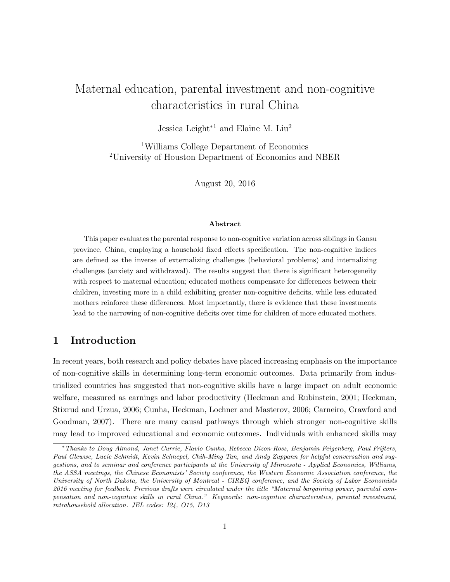# Maternal education, parental investment and non-cognitive characteristics in rural China

Jessica Leight<br/>\*1 and Elaine M.  $\rm Liu^2$ 

<sup>1</sup>Williams College Department of Economics <sup>2</sup>University of Houston Department of Economics and NBER

August 20, 2016

#### Abstract

This paper evaluates the parental response to non-cognitive variation across siblings in Gansu province, China, employing a household fixed effects specification. The non-cognitive indices are defined as the inverse of externalizing challenges (behavioral problems) and internalizing challenges (anxiety and withdrawal). The results suggest that there is significant heterogeneity with respect to maternal education; educated mothers compensate for differences between their children, investing more in a child exhibiting greater non-cognitive deficits, while less educated mothers reinforce these differences. Most importantly, there is evidence that these investments lead to the narrowing of non-cognitive deficits over time for children of more educated mothers.

### 1 Introduction

In recent years, both research and policy debates have placed increasing emphasis on the importance of non-cognitive skills in determining long-term economic outcomes. Data primarily from industrialized countries has suggested that non-cognitive skills have a large impact on adult economic welfare, measured as earnings and labor productivity [\(Heckman and Rubinstein, 2001;](#page-28-0) [Heckman,](#page-28-1) [Stixrud and Urzua, 2006;](#page-28-1) [Cunha, Heckman, Lochner and Masterov, 2006;](#page-27-0) [Carneiro, Crawford and](#page-26-0) [Goodman, 2007\)](#page-26-0). There are many causal pathways through which stronger non-cognitive skills may lead to improved educational and economic outcomes. Individuals with enhanced skills may

<sup>∗</sup>Thanks to Doug Almond, Janet Currie, Flavio Cunha, Rebecca Dizon-Ross, Benjamin Feigenberg, Paul Frijters, Paul Glewwe, Lucie Schmidt, Kevin Schnepel, Chih-Ming Tan, and Andy Zuppann for helpful conversation and suggestions, and to seminar and conference participants at the University of Minnesota - Applied Economics, Williams, the ASSA meetings, the Chinese Economists' Society conference, the Western Economic Association conference, the University of North Dakota, the University of Montreal - CIREQ conference, and the Society of Labor Economists 2016 meeting for feedback. Previous drafts were circulated under the title "Maternal bargaining power, parental compensation and non-cognitive skills in rural China." Keywords: non-cognitive characteristics, parental investment, intrahousehold allocation. JEL codes: I24, O15, D13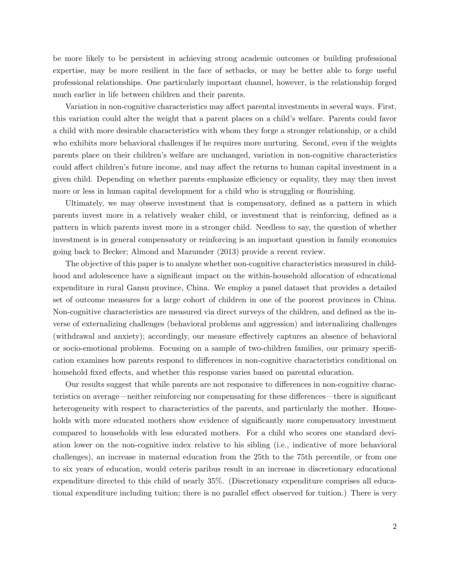be more likely to be persistent in achieving strong academic outcomes or building professional expertise, may be more resilient in the face of setbacks, or may be better able to forge useful professional relationships. One particularly important channel, however, is the relationship forged much earlier in life between children and their parents.

Variation in non-cognitive characteristics may affect parental investments in several ways. First, this variation could alter the weight that a parent places on a child's welfare. Parents could favor a child with more desirable characteristics with whom they forge a stronger relationship, or a child who exhibits more behavioral challenges if he requires more nurturing. Second, even if the weights parents place on their children's welfare are unchanged, variation in non-cognitive characteristics could affect children's future income, and may affect the returns to human capital investment in a given child. Depending on whether parents emphasize efficiency or equality, they may then invest more or less in human capital development for a child who is struggling or flourishing.

Ultimately, we may observe investment that is compensatory, defined as a pattern in which parents invest more in a relatively weaker child, or investment that is reinforcing, defined as a pattern in which parents invest more in a stronger child. Needless to say, the question of whether investment is in general compensatory or reinforcing is an important question in family economics going back to Becker; [Almond and Mazumder](#page-25-0) [\(2013\)](#page-25-0) provide a recent review.

The objective of this paper is to analyze whether non-cognitive characteristics measured in childhood and adolescence have a significant impact on the within-household allocation of educational expenditure in rural Gansu province, China. We employ a panel dataset that provides a detailed set of outcome measures for a large cohort of children in one of the poorest provinces in China. Non-cognitive characteristics are measured via direct surveys of the children, and defined as the inverse of externalizing challenges (behavioral problems and aggression) and internalizing challenges (withdrawal and anxiety); accordingly, our measure effectively captures an absence of behavioral or socio-emotional problems. Focusing on a sample of two-children families, our primary specification examines how parents respond to differences in non-cognitive characteristics conditional on household fixed effects, and whether this response varies based on parental education.

Our results suggest that while parents are not responsive to differences in non-cognitive characteristics on average—neither reinforcing nor compensating for these differences—there is significant heterogeneity with respect to characteristics of the parents, and particularly the mother. Households with more educated mothers show evidence of significantly more compensatory investment compared to households with less educated mothers. For a child who scores one standard deviation lower on the non-cognitive index relative to his sibling (i.e., indicative of more behavioral challenges), an increase in maternal education from the 25th to the 75th percentile, or from one to six years of education, would ceteris paribus result in an increase in discretionary educational expenditure directed to this child of nearly 35%. (Discretionary expenditure comprises all educational expenditure including tuition; there is no parallel effect observed for tuition.) There is very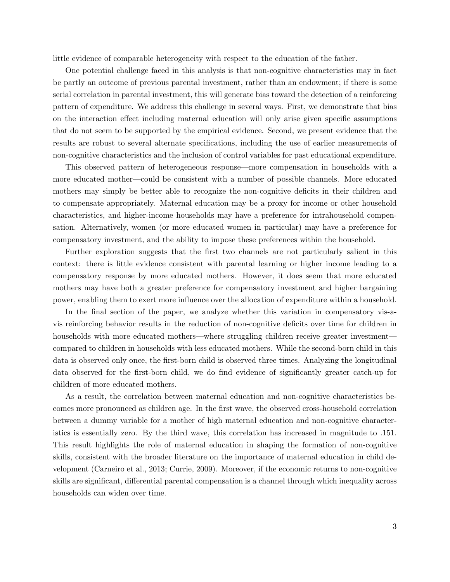little evidence of comparable heterogeneity with respect to the education of the father.

One potential challenge faced in this analysis is that non-cognitive characteristics may in fact be partly an outcome of previous parental investment, rather than an endowment; if there is some serial correlation in parental investment, this will generate bias toward the detection of a reinforcing pattern of expenditure. We address this challenge in several ways. First, we demonstrate that bias on the interaction effect including maternal education will only arise given specific assumptions that do not seem to be supported by the empirical evidence. Second, we present evidence that the results are robust to several alternate specifications, including the use of earlier measurements of non-cognitive characteristics and the inclusion of control variables for past educational expenditure.

This observed pattern of heterogeneous response—more compensation in households with a more educated mother—could be consistent with a number of possible channels. More educated mothers may simply be better able to recognize the non-cognitive deficits in their children and to compensate appropriately. Maternal education may be a proxy for income or other household characteristics, and higher-income households may have a preference for intrahousehold compensation. Alternatively, women (or more educated women in particular) may have a preference for compensatory investment, and the ability to impose these preferences within the household.

Further exploration suggests that the first two channels are not particularly salient in this context: there is little evidence consistent with parental learning or higher income leading to a compensatory response by more educated mothers. However, it does seem that more educated mothers may have both a greater preference for compensatory investment and higher bargaining power, enabling them to exert more influence over the allocation of expenditure within a household.

In the final section of the paper, we analyze whether this variation in compensatory vis-avis reinforcing behavior results in the reduction of non-cognitive deficits over time for children in households with more educated mothers—where struggling children receive greater investment compared to children in households with less educated mothers. While the second-born child in this data is observed only once, the first-born child is observed three times. Analyzing the longitudinal data observed for the first-born child, we do find evidence of significantly greater catch-up for children of more educated mothers.

As a result, the correlation between maternal education and non-cognitive characteristics becomes more pronounced as children age. In the first wave, the observed cross-household correlation between a dummy variable for a mother of high maternal education and non-cognitive characteristics is essentially zero. By the third wave, this correlation has increased in magnitude to .151. This result highlights the role of maternal education in shaping the formation of non-cognitive skills, consistent with the broader literature on the importance of maternal education in child development [\(Carneiro et al., 2013;](#page-26-1) [Currie, 2009\)](#page-27-1). Moreover, if the economic returns to non-cognitive skills are significant, differential parental compensation is a channel through which inequality across households can widen over time.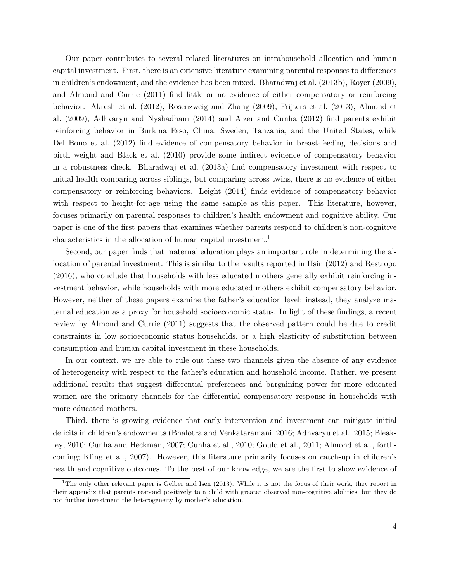Our paper contributes to several related literatures on intrahousehold allocation and human capital investment. First, there is an extensive literature examining parental responses to differences in children's endowment, and the evidence has been mixed. [Bharadwaj et al.](#page-25-1) [\(2013b\)](#page-25-1), [Royer](#page-28-2) [\(2009\)](#page-28-2), and [Almond and Currie](#page-25-2) [\(2011\)](#page-25-2) find little or no evidence of either compensatory or reinforcing behavior. [Akresh et al.](#page-25-3) [\(2012\)](#page-25-3), [Rosenzweig and Zhang](#page-28-3) [\(2009\)](#page-28-3), [Frijters et al.](#page-27-2) [\(2013\)](#page-27-2), [Almond et](#page-25-4) [al.](#page-25-4) [\(2009\)](#page-25-4), [Adhvaryu and Nyshadham](#page-25-5) [\(2014\)](#page-25-5) and [Aizer and Cunha](#page-25-6) [\(2012\)](#page-25-6) find parents exhibit reinforcing behavior in Burkina Faso, China, Sweden, Tanzania, and the United States, while [Del Bono et al.](#page-26-2) [\(2012\)](#page-26-2) find evidence of compensatory behavior in breast-feeding decisions and birth weight and [Black et al.](#page-26-3) [\(2010\)](#page-26-3) provide some indirect evidence of compensatory behavior in a robustness check. [Bharadwaj et al.](#page-25-7) [\(2013a\)](#page-25-7) find compensatory investment with respect to initial health comparing across siblings, but comparing across twins, there is no evidence of either compensatory or reinforcing behaviors. [Leight](#page-28-4) [\(2014\)](#page-28-4) finds evidence of compensatory behavior with respect to height-for-age using the same sample as this paper. This literature, however, focuses primarily on parental responses to children's health endowment and cognitive ability. Our paper is one of the first papers that examines whether parents respond to children's non-cognitive characteristics in the allocation of human capital investment.<sup>[1](#page-3-0)</sup>

Second, our paper finds that maternal education plays an important role in determining the allocation of parental investment. This is similar to the results reported in [Hsin](#page-28-5) [\(2012\)](#page-28-5) and [Restropo](#page-28-6) [\(2016\)](#page-28-6), who conclude that households with less educated mothers generally exhibit reinforcing investment behavior, while households with more educated mothers exhibit compensatory behavior. However, neither of these papers examine the father's education level; instead, they analyze maternal education as a proxy for household socioeconomic status. In light of these findings, a recent review by [Almond and Currie](#page-25-2) [\(2011\)](#page-25-2) suggests that the observed pattern could be due to credit constraints in low socioeconomic status households, or a high elasticity of substitution between consumption and human capital investment in these households.

In our context, we are able to rule out these two channels given the absence of any evidence of heterogeneity with respect to the father's education and household income. Rather, we present additional results that suggest differential preferences and bargaining power for more educated women are the primary channels for the differential compensatory response in households with more educated mothers.

Third, there is growing evidence that early intervention and investment can mitigate initial deficits in children's endowments [\(Bhalotra and Venkataramani, 2016;](#page-25-8) [Adhvaryu et al., 2015;](#page-25-9) [Bleak](#page-26-4)[ley, 2010;](#page-26-4) [Cunha and Heckman, 2007;](#page-26-5) [Cunha et al., 2010;](#page-26-6) [Gould et al., 2011;](#page-27-3) [Almond et al., forth](#page-25-10)[coming;](#page-25-10) [Kling et al., 2007\)](#page-28-7). However, this literature primarily focuses on catch-up in children's health and cognitive outcomes. To the best of our knowledge, we are the first to show evidence of

<span id="page-3-0"></span><sup>&</sup>lt;sup>1</sup>The only other relevant paper is [Gelber and Isen](#page-27-4) [\(2013\)](#page-27-4). While it is not the focus of their work, they report in their appendix that parents respond positively to a child with greater observed non-cognitive abilities, but they do not further investment the heterogeneity by mother's education.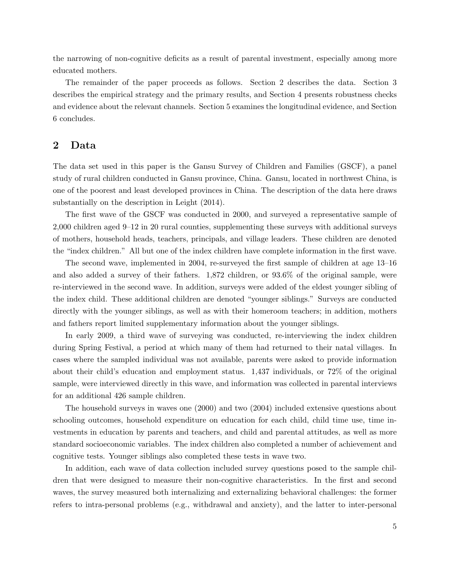the narrowing of non-cognitive deficits as a result of parental investment, especially among more educated mothers.

The remainder of the paper proceeds as follows. Section [2](#page-4-0) describes the data. Section [3](#page-7-0) describes the empirical strategy and the primary results, and Section [4](#page-11-0) presents robustness checks and evidence about the relevant channels. Section [5](#page-20-0) examines the longitudinal evidence, and Section [6](#page-23-0) concludes.

### <span id="page-4-0"></span>2 Data

The data set used in this paper is the Gansu Survey of Children and Families (GSCF), a panel study of rural children conducted in Gansu province, China. Gansu, located in northwest China, is one of the poorest and least developed provinces in China. The description of the data here draws substantially on the description in [Leight](#page-28-4) [\(2014\)](#page-28-4).

The first wave of the GSCF was conducted in 2000, and surveyed a representative sample of 2,000 children aged 9–12 in 20 rural counties, supplementing these surveys with additional surveys of mothers, household heads, teachers, principals, and village leaders. These children are denoted the "index children." All but one of the index children have complete information in the first wave.

The second wave, implemented in 2004, re-surveyed the first sample of children at age 13–16 and also added a survey of their fathers. 1,872 children, or 93.6% of the original sample, were re-interviewed in the second wave. In addition, surveys were added of the eldest younger sibling of the index child. These additional children are denoted "younger siblings." Surveys are conducted directly with the younger siblings, as well as with their homeroom teachers; in addition, mothers and fathers report limited supplementary information about the younger siblings.

In early 2009, a third wave of surveying was conducted, re-interviewing the index children during Spring Festival, a period at which many of them had returned to their natal villages. In cases where the sampled individual was not available, parents were asked to provide information about their child's education and employment status. 1,437 individuals, or 72% of the original sample, were interviewed directly in this wave, and information was collected in parental interviews for an additional 426 sample children.

The household surveys in waves one (2000) and two (2004) included extensive questions about schooling outcomes, household expenditure on education for each child, child time use, time investments in education by parents and teachers, and child and parental attitudes, as well as more standard socioeconomic variables. The index children also completed a number of achievement and cognitive tests. Younger siblings also completed these tests in wave two.

In addition, each wave of data collection included survey questions posed to the sample children that were designed to measure their non-cognitive characteristics. In the first and second waves, the survey measured both internalizing and externalizing behavioral challenges: the former refers to intra-personal problems (e.g., withdrawal and anxiety), and the latter to inter-personal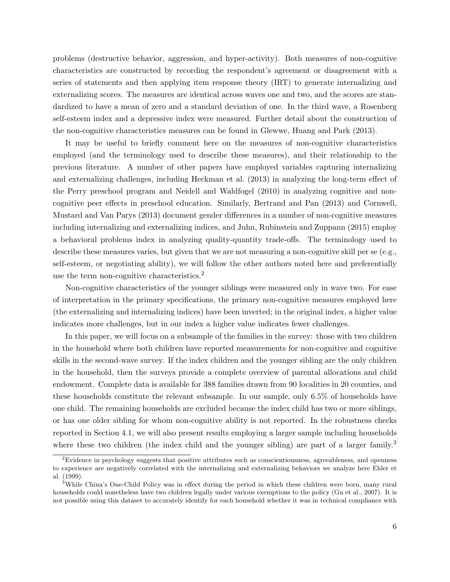problems (destructive behavior, aggression, and hyper-activity). Both measures of non-cognitive characteristics are constructed by recording the respondent's agreement or disagreement with a series of statements and then applying item response theory (IRT) to generate internalizing and externalizing scores. The measures are identical across waves one and two, and the scores are standardized to have a mean of zero and a standard deviation of one. In the third wave, a Rosenberg self-esteem index and a depressive index were measured. Further detail about the construction of the non-cognitive characteristics measures can be found in [Glewwe, Huang and Park](#page-27-5) [\(2013\)](#page-27-5).

It may be useful to briefly comment here on the measures of non-cognitive characteristics employed (and the terminology used to describe these measures), and their relationship to the previous literature. A number of other papers have employed variables capturing internalizing and externalizing challenges, including [Heckman et al.](#page-28-8) [\(2013\)](#page-28-8) in analyzing the long-term effect of the Perry preschool program and [Neidell and Waldfogel](#page-28-9) [\(2010\)](#page-28-9) in analyzing cognitive and noncognitive peer effects in preschool education. Similarly, [Bertrand and Pan](#page-25-11) [\(2013\)](#page-25-11) and [Cornwell,](#page-26-7) [Mustard and Van Parys](#page-26-7) [\(2013\)](#page-26-7) document gender differences in a number of non-cognitive measures including internalizing and externalizing indices, and [Juhn, Rubinstein and Zuppann](#page-28-10) [\(2015\)](#page-28-10) employ a behavioral problems index in analyzing quality-quantity trade-offs. The terminology used to describe these measures varies, but given that we are not measuring a non-cognitive skill per se (e.g., self-esteem, or negotiating ability), we will follow the other authors noted here and preferentially use the term non-cognitive characteristics.[2](#page-5-0)

Non-cognitive characteristics of the younger siblings were measured only in wave two. For ease of interpretation in the primary specifications, the primary non-cognitive measures employed here (the externalizing and internalizing indices) have been inverted; in the original index, a higher value indicates more challenges, but in our index a higher value indicates fewer challenges.

In this paper, we will focus on a subsample of the families in the survey: those with two children in the household where both children have reported measurements for non-cognitive and cognitive skills in the second-wave survey. If the index children and the younger sibling are the only children in the household, then the surveys provide a complete overview of parental allocations and child endowment. Complete data is available for 388 families drawn from 90 localities in 20 counties, and these households constitute the relevant subsample. In our sample, only 6.5% of households have one child. The remaining households are excluded because the index child has two or more siblings, or has one older sibling for whom non-cognitive ability is not reported. In the robustness checks reported in Section [4.1,](#page-11-1) we will also present results employing a larger sample including households where these two children (the index child and the younger sibling) are part of a larger family.<sup>[3](#page-5-1)</sup>

<span id="page-5-0"></span><sup>&</sup>lt;sup>2</sup>Evidence in psychology suggests that positive attributes such as conscientiousness, agreeableness, and openness to experience are negatively correlated with the internalizing and externalizing behaviors we analyze here [Ehler et](#page-27-6) [al.](#page-27-6) [\(1999\)](#page-27-6).

<span id="page-5-1"></span><sup>&</sup>lt;sup>3</sup>While China's One-Child Policy was in effect during the period in which these children were born, many rural households could nonetheless have two children legally under various exemptions to the policy [\(Gu et al., 2007\)](#page-27-7). It is not possible using this dataset to accurately identify for each household whether it was in technical compliance with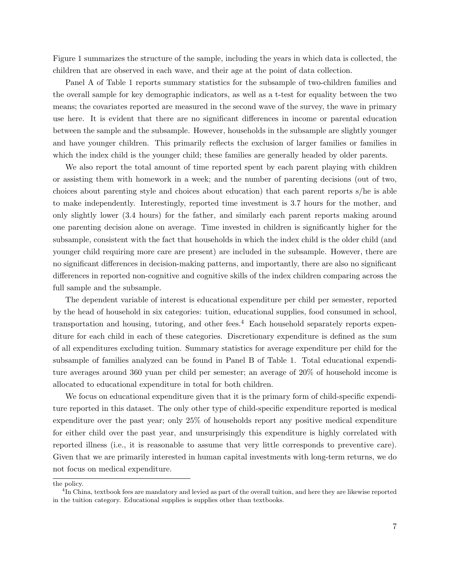Figure [1](#page-30-0) summarizes the structure of the sample, including the years in which data is collected, the children that are observed in each wave, and their age at the point of data collection.

Panel A of Table [1](#page-32-0) reports summary statistics for the subsample of two-children families and the overall sample for key demographic indicators, as well as a t-test for equality between the two means; the covariates reported are measured in the second wave of the survey, the wave in primary use here. It is evident that there are no significant differences in income or parental education between the sample and the subsample. However, households in the subsample are slightly younger and have younger children. This primarily reflects the exclusion of larger families or families in which the index child is the younger child; these families are generally headed by older parents.

We also report the total amount of time reported spent by each parent playing with children or assisting them with homework in a week; and the number of parenting decisions (out of two, choices about parenting style and choices about education) that each parent reports s/he is able to make independently. Interestingly, reported time investment is 3.7 hours for the mother, and only slightly lower (3.4 hours) for the father, and similarly each parent reports making around one parenting decision alone on average. Time invested in children is significantly higher for the subsample, consistent with the fact that households in which the index child is the older child (and younger child requiring more care are present) are included in the subsample. However, there are no significant differences in decision-making patterns, and importantly, there are also no significant differences in reported non-cognitive and cognitive skills of the index children comparing across the full sample and the subsample.

The dependent variable of interest is educational expenditure per child per semester, reported by the head of household in six categories: tuition, educational supplies, food consumed in school, transportation and housing, tutoring, and other fees.<sup>[4](#page-6-0)</sup> Each household separately reports expenditure for each child in each of these categories. Discretionary expenditure is defined as the sum of all expenditures excluding tuition. Summary statistics for average expenditure per child for the subsample of families analyzed can be found in Panel B of Table [1.](#page-32-0) Total educational expenditure averages around 360 yuan per child per semester; an average of 20% of household income is allocated to educational expenditure in total for both children.

We focus on educational expenditure given that it is the primary form of child-specific expenditure reported in this dataset. The only other type of child-specific expenditure reported is medical expenditure over the past year; only 25% of households report any positive medical expenditure for either child over the past year, and unsurprisingly this expenditure is highly correlated with reported illness (i.e., it is reasonable to assume that very little corresponds to preventive care). Given that we are primarily interested in human capital investments with long-term returns, we do not focus on medical expenditure.

the policy.

<span id="page-6-0"></span><sup>&</sup>lt;sup>4</sup>In China, textbook fees are mandatory and levied as part of the overall tuition, and here they are likewise reported in the tuition category. Educational supplies is supplies other than textbooks.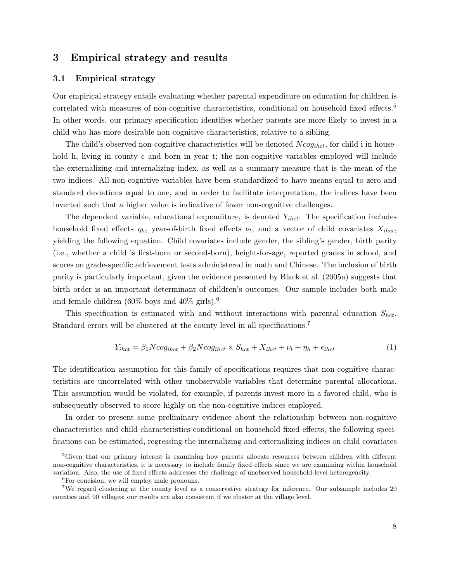### <span id="page-7-0"></span>3 Empirical strategy and results

#### 3.1 Empirical strategy

Our empirical strategy entails evaluating whether parental expenditure on education for children is correlated with measures of non-cognitive characteristics, conditional on household fixed effects.<sup>[5](#page-7-1)</sup> In other words, our primary specification identifies whether parents are more likely to invest in a child who has more desirable non-cognitive characteristics, relative to a sibling.

The child's observed non-cognitive characteristics will be denoted  $Ncog_{ihct}$ , for child i in household h, living in county c and born in year t; the non-cognitive variables employed will include the externalizing and internalizing index, as well as a summary measure that is the mean of the two indices. All non-cognitive variables have been standardized to have means equal to zero and standard deviations equal to one, and in order to facilitate interpretation, the indices have been inverted such that a higher value is indicative of fewer non-cognitive challenges.

The dependent variable, educational expenditure, is denoted  $Y_{ihct}$ . The specification includes household fixed effects  $\eta_h$ , year-of-birth fixed effects  $\nu_t$ , and a vector of child covariates  $X_{ihct}$ , yielding the following equation. Child covariates include gender, the sibling's gender, birth parity (i.e., whether a child is first-born or second-born), height-for-age, reported grades in school, and scores on grade-specific achievement tests administered in math and Chinese. The inclusion of birth parity is particularly important, given the evidence presented by [Black et al.](#page-26-8) [\(2005a\)](#page-26-8) suggests that birth order is an important determinant of children's outcomes. Our sample includes both male and female children  $(60\%$  $(60\%$  $(60\%$  boys and  $40\%$  girls).<sup>6</sup>

This specification is estimated with and without interactions with parental education  $S_{hct}$ . Standard errors will be clustered at the county level in all specifications.<sup>[7](#page-7-3)</sup>

<span id="page-7-4"></span>
$$
Y_{ihct} = \beta_1 N cog_{ihct} + \beta_2 N cog_{ihct} \times S_{hct} + X_{ihct} + \nu_t + \eta_h + \epsilon_{ihct}
$$
 (1)

The identification assumption for this family of specifications requires that non-cognitive characteristics are uncorrelated with other unobservable variables that determine parental allocations. This assumption would be violated, for example, if parents invest more in a favored child, who is subsequently observed to score highly on the non-cognitive indices employed.

In order to present some preliminary evidence about the relationship between non-cognitive characteristics and child characteristics conditional on household fixed effects, the following specifications can be estimated, regressing the internalizing and externalizing indices on child covariates

<span id="page-7-1"></span><sup>&</sup>lt;sup>5</sup>Given that our primary interest is examining how parents allocate resources between children with different non-cognitive characteristics, it is necessary to include family fixed effects since we are examining within household variation. Also, the use of fixed effects addresses the challenge of unobserved household-level heterogeneity.

<span id="page-7-3"></span><span id="page-7-2"></span><sup>&</sup>lt;sup>6</sup>For concision, we will employ male pronouns.

<sup>7</sup>We regard clustering at the county level as a conservative strategy for inference. Our subsample includes 20 counties and 90 villages; our results are also consistent if we cluster at the village level.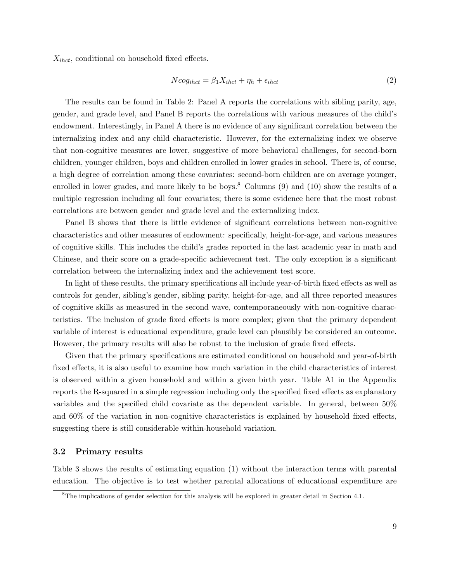$X_{ihct}$ , conditional on household fixed effects.

$$
Ncog_{ihct} = \beta_1 X_{ihct} + \eta_h + \epsilon_{ihct}
$$
\n(2)

The results can be found in Table [2:](#page-33-0) Panel A reports the correlations with sibling parity, age, gender, and grade level, and Panel B reports the correlations with various measures of the child's endowment. Interestingly, in Panel A there is no evidence of any significant correlation between the internalizing index and any child characteristic. However, for the externalizing index we observe that non-cognitive measures are lower, suggestive of more behavioral challenges, for second-born children, younger children, boys and children enrolled in lower grades in school. There is, of course, a high degree of correlation among these covariates: second-born children are on average younger, enrolled in lower grades, and more likely to be boys.<sup>[8](#page-8-0)</sup> Columns (9) and (10) show the results of a multiple regression including all four covariates; there is some evidence here that the most robust correlations are between gender and grade level and the externalizing index.

Panel B shows that there is little evidence of significant correlations between non-cognitive characteristics and other measures of endowment: specifically, height-for-age, and various measures of cognitive skills. This includes the child's grades reported in the last academic year in math and Chinese, and their score on a grade-specific achievement test. The only exception is a significant correlation between the internalizing index and the achievement test score.

In light of these results, the primary specifications all include year-of-birth fixed effects as well as controls for gender, sibling's gender, sibling parity, height-for-age, and all three reported measures of cognitive skills as measured in the second wave, contemporaneously with non-cognitive characteristics. The inclusion of grade fixed effects is more complex; given that the primary dependent variable of interest is educational expenditure, grade level can plausibly be considered an outcome. However, the primary results will also be robust to the inclusion of grade fixed effects.

Given that the primary specifications are estimated conditional on household and year-of-birth fixed effects, it is also useful to examine how much variation in the child characteristics of interest is observed within a given household and within a given birth year. Table [A1](#page-40-0) in the Appendix reports the R-squared in a simple regression including only the specified fixed effects as explanatory variables and the specified child covariate as the dependent variable. In general, between 50% and 60% of the variation in non-cognitive characteristics is explained by household fixed effects, suggesting there is still considerable within-household variation.

#### 3.2 Primary results

Table [3](#page-34-0) shows the results of estimating equation [\(1\)](#page-7-4) without the interaction terms with parental education. The objective is to test whether parental allocations of educational expenditure are

<span id="page-8-0"></span><sup>8</sup>The implications of gender selection for this analysis will be explored in greater detail in Section [4.1.](#page-11-1)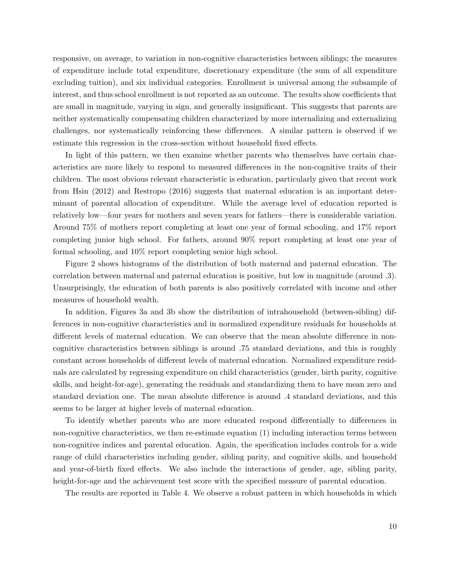responsive, on average, to variation in non-cognitive characteristics between siblings; the measures of expenditure include total expenditure, discretionary expenditure (the sum of all expenditure excluding tuition), and six individual categories. Enrollment is universal among the subsample of interest, and thus school enrollment is not reported as an outcome. The results show coefficients that are small in magnitude, varying in sign, and generally insignificant. This suggests that parents are neither systematically compensating children characterized by more internalizing and externalizing challenges, nor systematically reinforcing these differences. A similar pattern is observed if we estimate this regression in the cross-section without household fixed effects.

In light of this pattern, we then examine whether parents who themselves have certain characteristics are more likely to respond to measured differences in the non-cognitive traits of their children. The most obvious relevant characteristic is education, particularly given that recent work from [Hsin](#page-28-5) [\(2012\)](#page-28-5) and [Restropo](#page-28-6) [\(2016\)](#page-28-6) suggests that maternal education is an important determinant of parental allocation of expenditure. While the average level of education reported is relatively low—four years for mothers and seven years for fathers—there is considerable variation. Around 75% of mothers report completing at least one year of formal schooling, and 17% report completing junior high school. For fathers, around 90% report completing at least one year of formal schooling, and 10% report completing senior high school.

Figure [2](#page-30-1) shows histograms of the distribution of both maternal and paternal education. The correlation between maternal and paternal education is positive, but low in magnitude (around .3). Unsurprisingly, the education of both parents is also positively correlated with income and other measures of household wealth.

In addition, Figures [3a](#page-31-0) and [3b](#page-31-1) show the distribution of intrahousehold (between-sibling) differences in non-cognitive characteristics and in normalized expenditure residuals for households at different levels of maternal education. We can observe that the mean absolute difference in noncognitive characteristics between siblings is around .75 standard deviations, and this is roughly constant across households of different levels of maternal education. Normalized expenditure residuals are calculated by regressing expenditure on child characteristics (gender, birth parity, cognitive skills, and height-for-age), generating the residuals and standardizing them to have mean zero and standard deviation one. The mean absolute difference is around .4 standard deviations, and this seems to be larger at higher levels of maternal education.

To identify whether parents who are more educated respond differentially to differences in non-cognitive characteristics, we then re-estimate equation [\(1\)](#page-7-4) including interaction terms between non-cognitive indices and parental education. Again, the specification includes controls for a wide range of child characteristics including gender, sibling parity, and cognitive skills, and household and year-of-birth fixed effects. We also include the interactions of gender, age, sibling parity, height-for-age and the achievement test score with the specified measure of parental education.

The results are reported in Table [4.](#page-35-0) We observe a robust pattern in which households in which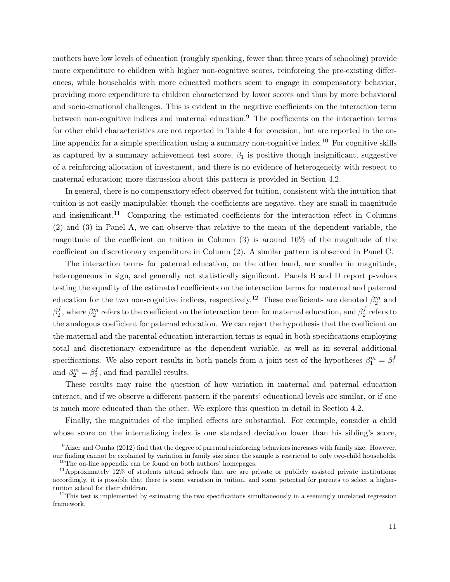mothers have low levels of education (roughly speaking, fewer than three years of schooling) provide more expenditure to children with higher non-cognitive scores, reinforcing the pre-existing differences, while households with more educated mothers seem to engage in compensatory behavior, providing more expenditure to children characterized by lower scores and thus by more behavioral and socio-emotional challenges. This is evident in the negative coefficients on the interaction term between non-cognitive indices and maternal education.[9](#page-10-0) The coefficients on the interaction terms for other child characteristics are not reported in Table [4](#page-35-0) for concision, but are reported in the on-line appendix for a simple specification using a summary non-cognitive index.<sup>[10](#page-10-1)</sup> For cognitive skills as captured by a summary achievement test score,  $\beta_1$  is positive though insignificant, suggestive of a reinforcing allocation of investment, and there is no evidence of heterogeneity with respect to maternal education; more discussion about this pattern is provided in Section [4.2.](#page-15-0)

In general, there is no compensatory effect observed for tuition, consistent with the intuition that tuition is not easily manipulable; though the coefficients are negative, they are small in magnitude and insignificant.<sup>[11](#page-10-2)</sup> Comparing the estimated coefficients for the interaction effect in Columns (2) and (3) in Panel A, we can observe that relative to the mean of the dependent variable, the magnitude of the coefficient on tuition in Column (3) is around 10% of the magnitude of the coefficient on discretionary expenditure in Column (2). A similar pattern is observed in Panel C.

The interaction terms for paternal education, on the other hand, are smaller in magnitude, heterogeneous in sign, and generally not statistically significant. Panels B and D report p-values testing the equality of the estimated coefficients on the interaction terms for maternal and paternal education for the two non-cognitive indices, respectively.<sup>[12](#page-10-3)</sup> These coefficients are denoted  $\beta_2^m$  and  $\beta_2^f$  $\mathcal{L}_2^f,$  where  $\beta_2^m$  refers to the coefficient on the interaction term for maternal education, and  $\beta_2^f$  $\frac{J}{2}$  refers to the analogous coefficient for paternal education. We can reject the hypothesis that the coefficient on the maternal and the parental education interaction terms is equal in both specifications employing total and discretionary expenditure as the dependent variable, as well as in several additional specifications. We also report results in both panels from a joint test of the hypotheses  $\beta_1^m = \beta_1^f$ 1 and  $\beta_2^m = \beta_2^f$  $_2^J$ , and find parallel results.

These results may raise the question of how variation in maternal and paternal education interact, and if we observe a different pattern if the parents' educational levels are similar, or if one is much more educated than the other. We explore this question in detail in Section [4.2.](#page-15-0)

Finally, the magnitudes of the implied effects are substantial. For example, consider a child whose score on the internalizing index is one standard deviation lower than his sibling's score,

<span id="page-10-0"></span> $9$ [Aizer and Cunha](#page-25-6) [\(2012\)](#page-25-6) find that the degree of parental reinforcing behaviors increases with family size. However, our finding cannot be explained by variation in family size since the sample is restricted to only two-child households.  $10$ The on-line appendix can be found on both authors' homepages.

<span id="page-10-2"></span><span id="page-10-1"></span><sup>&</sup>lt;sup>11</sup>Approximately 12% of students attend schools that are are private or publicly assisted private institutions; accordingly, it is possible that there is some variation in tuition, and some potential for parents to select a higher-

tuition school for their children.

<span id="page-10-3"></span> $12$ This test is implemented by estimating the two specifications simultaneously in a seemingly unrelated regression framework.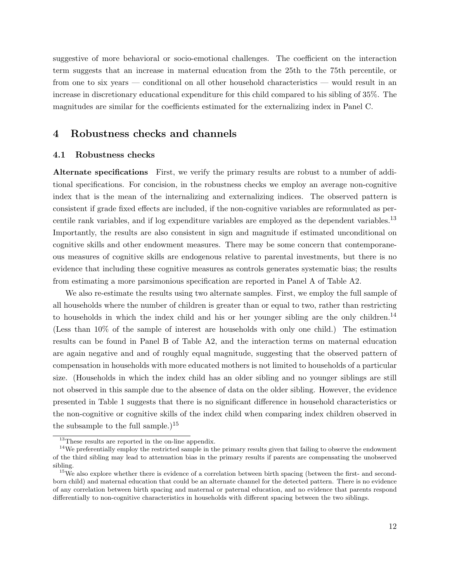suggestive of more behavioral or socio-emotional challenges. The coefficient on the interaction term suggests that an increase in maternal education from the 25th to the 75th percentile, or from one to six years — conditional on all other household characteristics — would result in an increase in discretionary educational expenditure for this child compared to his sibling of 35%. The magnitudes are similar for the coefficients estimated for the externalizing index in Panel C.

### <span id="page-11-0"></span>4 Robustness checks and channels

#### <span id="page-11-1"></span>4.1 Robustness checks

Alternate specifications First, we verify the primary results are robust to a number of additional specifications. For concision, in the robustness checks we employ an average non-cognitive index that is the mean of the internalizing and externalizing indices. The observed pattern is consistent if grade fixed effects are included, if the non-cognitive variables are reformulated as per-centile rank variables, and if log expenditure variables are employed as the dependent variables.<sup>[13](#page-11-2)</sup> Importantly, the results are also consistent in sign and magnitude if estimated unconditional on cognitive skills and other endowment measures. There may be some concern that contemporaneous measures of cognitive skills are endogenous relative to parental investments, but there is no evidence that including these cognitive measures as controls generates systematic bias; the results from estimating a more parsimonious specification are reported in Panel A of Table [A2.](#page-41-0)

We also re-estimate the results using two alternate samples. First, we employ the full sample of all households where the number of children is greater than or equal to two, rather than restricting to households in which the index child and his or her younger sibling are the only children.<sup>[14](#page-11-3)</sup> (Less than 10% of the sample of interest are households with only one child.) The estimation results can be found in Panel B of Table [A2,](#page-41-0) and the interaction terms on maternal education are again negative and and of roughly equal magnitude, suggesting that the observed pattern of compensation in households with more educated mothers is not limited to households of a particular size. (Households in which the index child has an older sibling and no younger siblings are still not observed in this sample due to the absence of data on the older sibling. However, the evidence presented in Table [1](#page-32-0) suggests that there is no significant difference in household characteristics or the non-cognitive or cognitive skills of the index child when comparing index children observed in the subsample to the full sample.)<sup>[15](#page-11-4)</sup>

<span id="page-11-3"></span><span id="page-11-2"></span><sup>&</sup>lt;sup>13</sup>These results are reported in the on-line appendix.

<sup>&</sup>lt;sup>14</sup>We preferentially employ the restricted sample in the primary results given that failing to observe the endowment of the third sibling may lead to attenuation bias in the primary results if parents are compensating the unobserved sibling.

<span id="page-11-4"></span><sup>&</sup>lt;sup>15</sup>We also explore whether there is evidence of a correlation between birth spacing (between the first- and secondborn child) and maternal education that could be an alternate channel for the detected pattern. There is no evidence of any correlation between birth spacing and maternal or paternal education, and no evidence that parents respond differentially to non-cognitive characteristics in households with different spacing between the two siblings.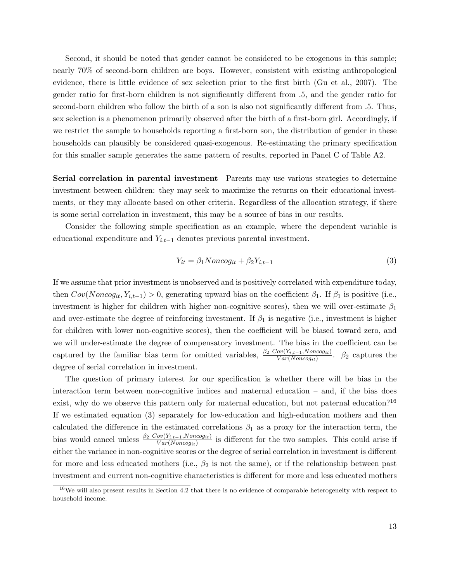Second, it should be noted that gender cannot be considered to be exogenous in this sample; nearly 70% of second-born children are boys. However, consistent with existing anthropological evidence, there is little evidence of sex selection prior to the first birth [\(Gu et al., 2007\)](#page-27-7). The gender ratio for first-born children is not significantly different from .5, and the gender ratio for second-born children who follow the birth of a son is also not significantly different from .5. Thus, sex selection is a phenomenon primarily observed after the birth of a first-born girl. Accordingly, if we restrict the sample to households reporting a first-born son, the distribution of gender in these households can plausibly be considered quasi-exogenous. Re-estimating the primary specification for this smaller sample generates the same pattern of results, reported in Panel C of Table [A2.](#page-41-0)

Serial correlation in parental investment Parents may use various strategies to determine investment between children: they may seek to maximize the returns on their educational investments, or they may allocate based on other criteria. Regardless of the allocation strategy, if there is some serial correlation in investment, this may be a source of bias in our results.

Consider the following simple specification as an example, where the dependent variable is educational expenditure and  $Y_{i,t-1}$  denotes previous parental investment.

<span id="page-12-1"></span>
$$
Y_{it} = \beta_1 N oncog_{it} + \beta_2 Y_{i,t-1}
$$
\n
$$
\tag{3}
$$

If we assume that prior investment is unobserved and is positively correlated with expenditure today, then  $Cov(Noncog_{it}, Y_{i,t-1}) > 0$ , generating upward bias on the coefficient  $\beta_1$ . If  $\beta_1$  is positive (i.e., investment is higher for children with higher non-cognitive scores), then we will over-estimate  $\beta_1$ and over-estimate the degree of reinforcing investment. If  $\beta_1$  is negative (i.e., investment is higher for children with lower non-cognitive scores), then the coefficient will be biased toward zero, and we will under-estimate the degree of compensatory investment. The bias in the coefficient can be captured by the familiar bias term for omitted variables,  $\frac{\beta_2 Cov(Y_{i,t-1}, Noneog_{it})}{Var(Noncog_{it})}$ .  $\beta_2$  captures the degree of serial correlation in investment.

The question of primary interest for our specification is whether there will be bias in the interaction term between non-cognitive indices and maternal education – and, if the bias does exist, why do we observe this pattern only for maternal education, but not paternal education?<sup>[16](#page-12-0)</sup> If we estimated equation [\(3\)](#page-12-1) separately for low-education and high-education mothers and then calculated the difference in the estimated correlations  $\beta_1$  as a proxy for the interaction term, the bias would cancel unless  $\frac{\beta_2 Cov(Y_{i,t-1},Noncog_{it})}{Var(Noncog_{it})}$  is different for the two samples. This could arise if either the variance in non-cognitive scores or the degree of serial correlation in investment is different for more and less educated mothers (i.e.,  $\beta_2$  is not the same), or if the relationship between past investment and current non-cognitive characteristics is different for more and less educated mothers

<span id="page-12-0"></span> $16$ We will also present results in Section [4.2](#page-15-0) that there is no evidence of comparable heterogeneity with respect to household income.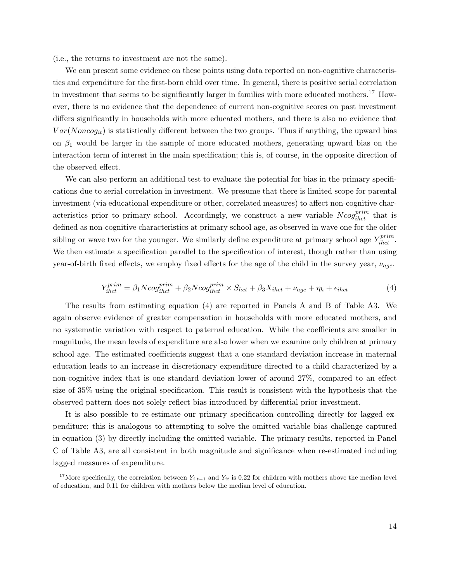(i.e., the returns to investment are not the same).

We can present some evidence on these points using data reported on non-cognitive characteristics and expenditure for the first-born child over time. In general, there is positive serial correlation in investment that seems to be significantly larger in families with more educated mothers.<sup>[17](#page-13-0)</sup> However, there is no evidence that the dependence of current non-cognitive scores on past investment differs significantly in households with more educated mothers, and there is also no evidence that  $Var(Noncog_{it})$  is statistically different between the two groups. Thus if anything, the upward bias on  $\beta_1$  would be larger in the sample of more educated mothers, generating upward bias on the interaction term of interest in the main specification; this is, of course, in the opposite direction of the observed effect.

We can also perform an additional test to evaluate the potential for bias in the primary specifications due to serial correlation in investment. We presume that there is limited scope for parental investment (via educational expenditure or other, correlated measures) to affect non-cognitive characteristics prior to primary school. Accordingly, we construct a new variable  $N \text{co} g_{ihct}^{prim}$  that is defined as non-cognitive characteristics at primary school age, as observed in wave one for the older sibling or wave two for the younger. We similarly define expenditure at primary school age  $Y_{ihct}^{prim}$ . We then estimate a specification parallel to the specification of interest, though rather than using year-of-birth fixed effects, we employ fixed effects for the age of the child in the survey year,  $\nu_{\text{age}}$ .

$$
Y_{ihct}^{prim} = \beta_1 N cog_{ihct}^{prim} + \beta_2 N cog_{ihct}^{prim} \times S_{hct} + \beta_3 X_{ihct} + \nu_{age} + \eta_h + \epsilon_{ihct}
$$
(4)

<span id="page-13-1"></span>The results from estimating equation [\(4\)](#page-13-1) are reported in Panels A and B of Table [A3.](#page-42-0) We again observe evidence of greater compensation in households with more educated mothers, and no systematic variation with respect to paternal education. While the coefficients are smaller in magnitude, the mean levels of expenditure are also lower when we examine only children at primary school age. The estimated coefficients suggest that a one standard deviation increase in maternal education leads to an increase in discretionary expenditure directed to a child characterized by a non-cognitive index that is one standard deviation lower of around 27%, compared to an effect size of 35% using the original specification. This result is consistent with the hypothesis that the observed pattern does not solely reflect bias introduced by differential prior investment.

It is also possible to re-estimate our primary specification controlling directly for lagged expenditure; this is analogous to attempting to solve the omitted variable bias challenge captured in equation [\(3\)](#page-12-1) by directly including the omitted variable. The primary results, reported in Panel C of Table [A3,](#page-42-0) are all consistent in both magnitude and significance when re-estimated including lagged measures of expenditure.

<span id="page-13-0"></span><sup>&</sup>lt;sup>17</sup>More specifically, the correlation between  $Y_{i,t-1}$  and  $Y_{it}$  is 0.22 for children with mothers above the median level of education, and 0.11 for children with mothers below the median level of education.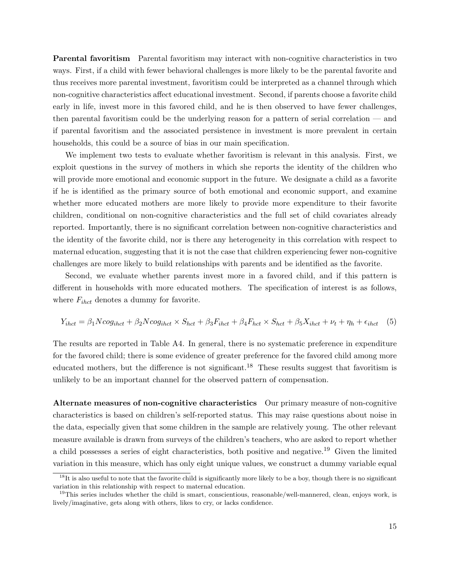Parental favoritism Parental favoritism may interact with non-cognitive characteristics in two ways. First, if a child with fewer behavioral challenges is more likely to be the parental favorite and thus receives more parental investment, favoritism could be interpreted as a channel through which non-cognitive characteristics affect educational investment. Second, if parents choose a favorite child early in life, invest more in this favored child, and he is then observed to have fewer challenges, then parental favoritism could be the underlying reason for a pattern of serial correlation — and if parental favoritism and the associated persistence in investment is more prevalent in certain households, this could be a source of bias in our main specification.

We implement two tests to evaluate whether favoritism is relevant in this analysis. First, we exploit questions in the survey of mothers in which she reports the identity of the children who will provide more emotional and economic support in the future. We designate a child as a favorite if he is identified as the primary source of both emotional and economic support, and examine whether more educated mothers are more likely to provide more expenditure to their favorite children, conditional on non-cognitive characteristics and the full set of child covariates already reported. Importantly, there is no significant correlation between non-cognitive characteristics and the identity of the favorite child, nor is there any heterogeneity in this correlation with respect to maternal education, suggesting that it is not the case that children experiencing fewer non-cognitive challenges are more likely to build relationships with parents and be identified as the favorite.

Second, we evaluate whether parents invest more in a favored child, and if this pattern is different in households with more educated mothers. The specification of interest is as follows, where  $F_{ihct}$  denotes a dummy for favorite.

$$
Y_{ihct} = \beta_1 N cog_{ihct} + \beta_2 N cog_{ihct} \times S_{hct} + \beta_3 F_{ihct} + \beta_4 F_{hct} \times S_{hct} + \beta_5 X_{ihct} + \nu_t + \eta_h + \epsilon_{ihct} \quad (5)
$$

The results are reported in Table [A4.](#page-43-0) In general, there is no systematic preference in expenditure for the favored child; there is some evidence of greater preference for the favored child among more educated mothers, but the difference is not significant.<sup>[18](#page-14-0)</sup> These results suggest that favoritism is unlikely to be an important channel for the observed pattern of compensation.

Alternate measures of non-cognitive characteristics Our primary measure of non-cognitive characteristics is based on children's self-reported status. This may raise questions about noise in the data, especially given that some children in the sample are relatively young. The other relevant measure available is drawn from surveys of the children's teachers, who are asked to report whether a child possesses a series of eight characteristics, both positive and negative.[19](#page-14-1) Given the limited variation in this measure, which has only eight unique values, we construct a dummy variable equal

<span id="page-14-0"></span> $18$ It is also useful to note that the favorite child is significantly more likely to be a boy, though there is no significant variation in this relationship with respect to maternal education.

<span id="page-14-1"></span><sup>&</sup>lt;sup>19</sup>This series includes whether the child is smart, conscientious, reasonable/well-mannered, clean, enjoys work, is lively/imaginative, gets along with others, likes to cry, or lacks confidence.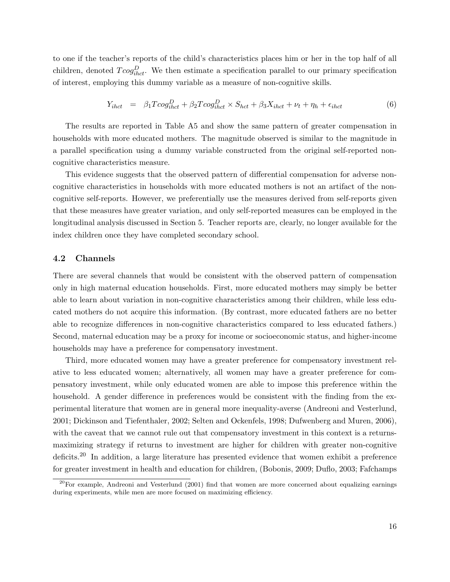to one if the teacher's reports of the child's characteristics places him or her in the top half of all children, denoted  $T_{cog}^D_{ihct}$ . We then estimate a specification parallel to our primary specification of interest, employing this dummy variable as a measure of non-cognitive skills.

$$
Y_{ihct} = \beta_1 T \cos_{ihct}^D + \beta_2 T \cos_{ihct}^D \times S_{hct} + \beta_3 X_{ihct} + \nu_t + \eta_h + \epsilon_{ihct}
$$
(6)

The results are reported in Table [A5](#page-43-1) and show the same pattern of greater compensation in households with more educated mothers. The magnitude observed is similar to the magnitude in a parallel specification using a dummy variable constructed from the original self-reported noncognitive characteristics measure.

This evidence suggests that the observed pattern of differential compensation for adverse noncognitive characteristics in households with more educated mothers is not an artifact of the noncognitive self-reports. However, we preferentially use the measures derived from self-reports given that these measures have greater variation, and only self-reported measures can be employed in the longitudinal analysis discussed in Section [5.](#page-20-0) Teacher reports are, clearly, no longer available for the index children once they have completed secondary school.

### <span id="page-15-0"></span>4.2 Channels

There are several channels that would be consistent with the observed pattern of compensation only in high maternal education households. First, more educated mothers may simply be better able to learn about variation in non-cognitive characteristics among their children, while less educated mothers do not acquire this information. (By contrast, more educated fathers are no better able to recognize differences in non-cognitive characteristics compared to less educated fathers.) Second, maternal education may be a proxy for income or socioeconomic status, and higher-income households may have a preference for compensatory investment.

Third, more educated women may have a greater preference for compensatory investment relative to less educated women; alternatively, all women may have a greater preference for compensatory investment, while only educated women are able to impose this preference within the household. A gender difference in preferences would be consistent with the finding from the experimental literature that women are in general more inequality-averse [\(Andreoni and Vesterlund,](#page-25-12) [2001;](#page-25-12) [Dickinson and Tiefenthaler, 2002;](#page-27-8) [Selten and Ockenfels, 1998;](#page-29-0) [Dufwenberg and Muren, 2006\)](#page-27-9), with the caveat that we cannot rule out that compensatory investment in this context is a returnsmaximizing strategy if returns to investment are higher for children with greater non-cognitive deficits.[20](#page-15-1) In addition, a large literature has presented evidence that women exhibit a preference for greater investment in health and education for children, [\(Bobonis, 2009;](#page-26-9) [Duflo, 2003;](#page-27-10) [Fafchamps](#page-27-11)

<span id="page-15-1"></span> $^{20}$ [For example, Andreoni and Vesterlund \(2001\) find that women are more concerned about equalizing earnings](#page-27-11) [during experiments, while men are more focused on maximizing efficiency.](#page-27-11)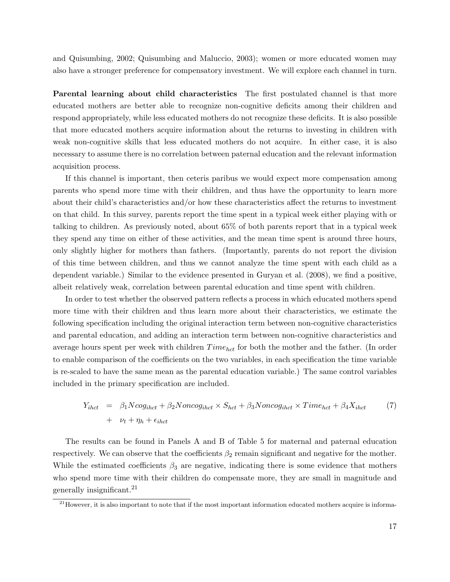[and Quisumbing, 2002;](#page-27-11) [Quisumbing and Maluccio, 2003\)](#page-28-11); women or more educated women may also have a stronger preference for compensatory investment. We will explore each channel in turn.

Parental learning about child characteristics The first postulated channel is that more educated mothers are better able to recognize non-cognitive deficits among their children and respond appropriately, while less educated mothers do not recognize these deficits. It is also possible that more educated mothers acquire information about the returns to investing in children with weak non-cognitive skills that less educated mothers do not acquire. In either case, it is also necessary to assume there is no correlation between paternal education and the relevant information acquisition process.

If this channel is important, then ceteris paribus we would expect more compensation among parents who spend more time with their children, and thus have the opportunity to learn more about their child's characteristics and/or how these characteristics affect the returns to investment on that child. In this survey, parents report the time spent in a typical week either playing with or talking to children. As previously noted, about 65% of both parents report that in a typical week they spend any time on either of these activities, and the mean time spent is around three hours, only slightly higher for mothers than fathers. (Importantly, parents do not report the division of this time between children, and thus we cannot analyze the time spent with each child as a dependent variable.) Similar to the evidence presented in [Guryan et al.](#page-27-12) [\(2008\)](#page-27-12), we find a positive, albeit relatively weak, correlation between parental education and time spent with children.

In order to test whether the observed pattern reflects a process in which educated mothers spend more time with their children and thus learn more about their characteristics, we estimate the following specification including the original interaction term between non-cognitive characteristics and parental education, and adding an interaction term between non-cognitive characteristics and average hours spent per week with children  $Time_{het}$  for both the mother and the father. (In order to enable comparison of the coefficients on the two variables, in each specification the time variable is re-scaled to have the same mean as the parental education variable.) The same control variables included in the primary specification are included.

$$
Y_{ihct} = \beta_1 N cog_{ihct} + \beta_2 N on cog_{ihct} \times S_{hct} + \beta_3 N on cog_{ihct} \times Time_{hct} + \beta_4 X_{ihct} \tag{7}
$$
  
+  $\nu_t + \eta_h + \epsilon_{ihct}$ 

The results can be found in Panels A and B of Table [5](#page-36-0) for maternal and paternal education respectively. We can observe that the coefficients  $\beta_2$  remain significant and negative for the mother. While the estimated coefficients  $\beta_3$  are negative, indicating there is some evidence that mothers who spend more time with their children do compensate more, they are small in magnitude and generally insignificant.[21](#page-16-0)

<span id="page-16-0"></span> $^{21}$ However, it is also important to note that if the most important information educated mothers acquire is informa-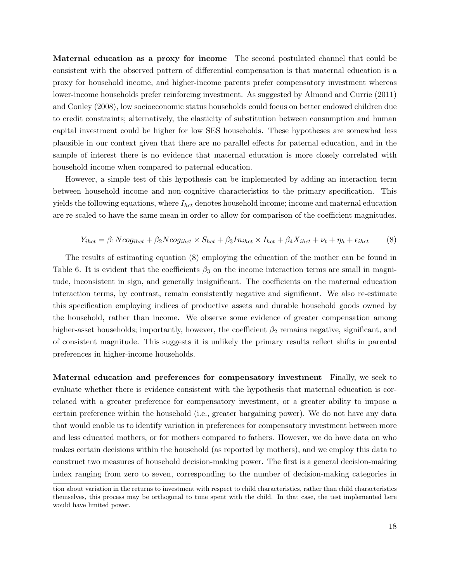Maternal education as a proxy for income The second postulated channel that could be consistent with the observed pattern of differential compensation is that maternal education is a proxy for household income, and higher-income parents prefer compensatory investment whereas lower-income households prefer reinforcing investment. As suggested by [Almond and Currie](#page-25-2) [\(2011\)](#page-25-2) and [Conley](#page-26-10) [\(2008\)](#page-26-10), low socioeconomic status households could focus on better endowed children due to credit constraints; alternatively, the elasticity of substitution between consumption and human capital investment could be higher for low SES households. These hypotheses are somewhat less plausible in our context given that there are no parallel effects for paternal education, and in the sample of interest there is no evidence that maternal education is more closely correlated with household income when compared to paternal education.

However, a simple test of this hypothesis can be implemented by adding an interaction term between household income and non-cognitive characteristics to the primary specification. This yields the following equations, where  $I_{hct}$  denotes household income; income and maternal education are re-scaled to have the same mean in order to allow for comparison of the coefficient magnitudes.

<span id="page-17-0"></span>
$$
Y_{ihct} = \beta_1 N cog_{ihct} + \beta_2 N cog_{ihct} \times S_{hct} + \beta_3 I n_{ihct} \times I_{hct} + \beta_4 X_{ihct} + \nu_t + \eta_h + \epsilon_{ihct}
$$
 (8)

The results of estimating equation [\(8\)](#page-17-0) employing the education of the mother can be found in Table [6.](#page-37-0) It is evident that the coefficients  $\beta_3$  on the income interaction terms are small in magnitude, inconsistent in sign, and generally insignificant. The coefficients on the maternal education interaction terms, by contrast, remain consistently negative and significant. We also re-estimate this specification employing indices of productive assets and durable household goods owned by the household, rather than income. We observe some evidence of greater compensation among higher-asset households; importantly, however, the coefficient  $\beta_2$  remains negative, significant, and of consistent magnitude. This suggests it is unlikely the primary results reflect shifts in parental preferences in higher-income households.

Maternal education and preferences for compensatory investment Finally, we seek to evaluate whether there is evidence consistent with the hypothesis that maternal education is correlated with a greater preference for compensatory investment, or a greater ability to impose a certain preference within the household (i.e., greater bargaining power). We do not have any data that would enable us to identify variation in preferences for compensatory investment between more and less educated mothers, or for mothers compared to fathers. However, we do have data on who makes certain decisions within the household (as reported by mothers), and we employ this data to construct two measures of household decision-making power. The first is a general decision-making index ranging from zero to seven, corresponding to the number of decision-making categories in

tion about variation in the returns to investment with respect to child characteristics, rather than child characteristics themselves, this process may be orthogonal to time spent with the child. In that case, the test implemented here would have limited power.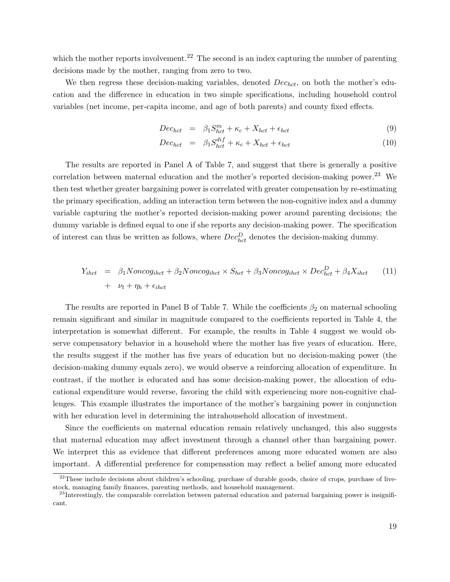which the mother reports involvement.<sup>[22](#page-18-0)</sup> The second is an index capturing the number of parenting decisions made by the mother, ranging from zero to two.

We then regress these decision-making variables, denoted  $Dec_{het}$ , on both the mother's education and the difference in education in two simple specifications, including household control variables (net income, per-capita income, and age of both parents) and county fixed effects.

$$
Dec_{hct} = \beta_1 S_{hct}^m + \kappa_c + X_{hct} + \epsilon_{hct}
$$
\n(9)

$$
Dec_{het} = \beta_1 S_{het}^{dif} + \kappa_c + X_{hct} + \epsilon_{hct}
$$
\n(10)

The results are reported in Panel A of Table [7,](#page-38-0) and suggest that there is generally a positive correlation between maternal education and the mother's reported decision-making power.<sup>[23](#page-18-1)</sup> We then test whether greater bargaining power is correlated with greater compensation by re-estimating the primary specification, adding an interaction term between the non-cognitive index and a dummy variable capturing the mother's reported decision-making power around parenting decisions; the dummy variable is defined equal to one if she reports any decision-making power. The specification of interest can thus be written as follows, where  $Dec_{hct}^D$  denotes the decision-making dummy.

$$
Y_{ihct} = \beta_1 N oncog_{ihct} + \beta_2 N oncog_{ihct} \times S_{hct} + \beta_3 N oncog_{ihct} \times Dec_{hct}^D + \beta_4 X_{ihct} \qquad (11)
$$
  
+  $\nu_t + \eta_h + \epsilon_{ihct}$ 

The results are reported in Panel B of Table [7.](#page-38-0) While the coefficients  $\beta_2$  on maternal schooling remain significant and similar in magnitude compared to the coefficients reported in Table [4,](#page-35-0) the interpretation is somewhat different. For example, the results in Table [4](#page-35-0) suggest we would observe compensatory behavior in a household where the mother has five years of education. Here, the results suggest if the mother has five years of education but no decision-making power (the decision-making dummy equals zero), we would observe a reinforcing allocation of expenditure. In contrast, if the mother is educated and has some decision-making power, the allocation of educational expenditure would reverse, favoring the child with experiencing more non-cognitive challenges. This example illustrates the importance of the mother's bargaining power in conjunction with her education level in determining the intrahousehold allocation of investment.

Since the coefficients on maternal education remain relatively unchanged, this also suggests that maternal education may affect investment through a channel other than bargaining power. We interpret this as evidence that different preferences among more educated women are also important. A differential preference for compensation may reflect a belief among more educated

<span id="page-18-0"></span><sup>&</sup>lt;sup>22</sup>These include decisions about children's schooling, purchase of durable goods, choice of crops, purchase of livestock, managing family finances, parenting methods, and household management.

<span id="page-18-1"></span> $^{23}$ Interestingly, the comparable correlation between paternal education and paternal bargaining power is insignificant.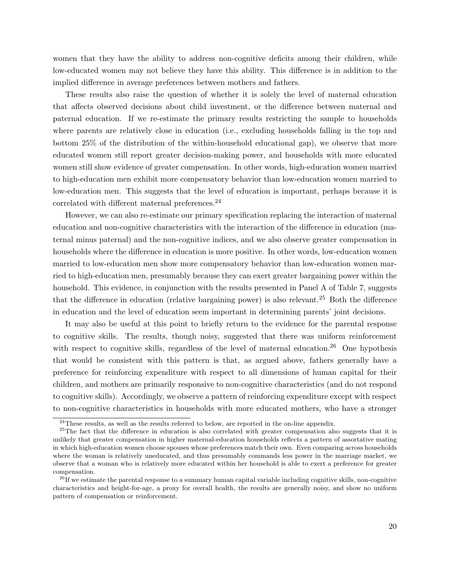women that they have the ability to address non-cognitive deficits among their children, while low-educated women may not believe they have this ability. This difference is in addition to the implied difference in average preferences between mothers and fathers.

These results also raise the question of whether it is solely the level of maternal education that affects observed decisions about child investment, or the difference between maternal and paternal education. If we re-estimate the primary results restricting the sample to households where parents are relatively close in education (i.e., excluding households falling in the top and bottom 25% of the distribution of the within-household educational gap), we observe that more educated women still report greater decision-making power, and households with more educated women still show evidence of greater compensation. In other words, high-education women married to high-education men exhibit more compensatory behavior than low-education women married to low-education men. This suggests that the level of education is important, perhaps because it is correlated with different maternal preferences.<sup>[24](#page-19-0)</sup>

However, we can also re-estimate our primary specification replacing the interaction of maternal education and non-cognitive characteristics with the interaction of the difference in education (maternal minus paternal) and the non-cognitive indices, and we also observe greater compensation in households where the difference in education is more positive. In other words, low-education women married to low-education men show more compensatory behavior than low-education women married to high-education men, presumably because they can exert greater bargaining power within the household. This evidence, in conjunction with the results presented in Panel A of Table [7,](#page-38-0) suggests that the difference in education (relative bargaining power) is also relevant.<sup>[25](#page-19-1)</sup> Both the difference in education and the level of education seem important in determining parents' joint decisions.

It may also be useful at this point to briefly return to the evidence for the parental response to cognitive skills. The results, though noisy, suggested that there was uniform reinforcement with respect to cognitive skills, regardless of the level of maternal education.<sup>[26](#page-19-2)</sup> One hypothesis that would be consistent with this pattern is that, as argued above, fathers generally have a preference for reinforcing expenditure with respect to all dimensions of human capital for their children, and mothers are primarily responsive to non-cognitive characteristics (and do not respond to cognitive skills). Accordingly, we observe a pattern of reinforcing expenditure except with respect to non-cognitive characteristics in households with more educated mothers, who have a stronger

<span id="page-19-1"></span><span id="page-19-0"></span> $24$ These results, as well as the results referred to below, are reported in the on-line appendix.

 $25$ The fact that the difference in education is also correlated with greater compensation also suggests that it is unlikely that greater compensation in higher maternal-education households reflects a pattern of assortative mating in which high-education women choose spouses whose preferences match their own. Even comparing across households where the woman is relatively uneducated, and thus presumably commands less power in the marriage market, we observe that a woman who is relatively more educated within her household is able to exert a preference for greater compensation.

<span id="page-19-2"></span> $^{26}$ If we estimate the parental response to a summary human capital variable including cognitive skills, non-cognitive characteristics and height-for-age, a proxy for overall health, the results are generally noisy, and show no uniform pattern of compensation or reinforcement.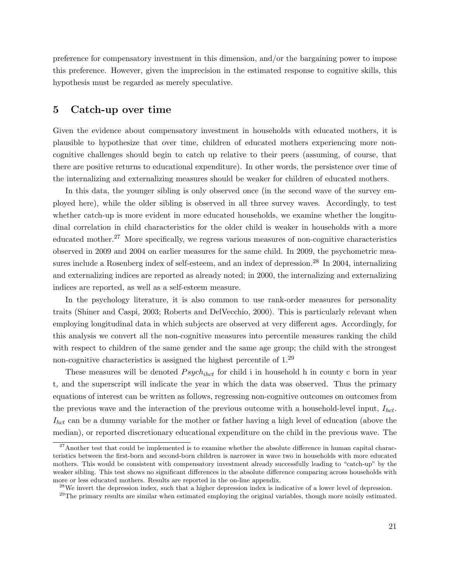preference for compensatory investment in this dimension, and/or the bargaining power to impose this preference. However, given the imprecision in the estimated response to cognitive skills, this hypothesis must be regarded as merely speculative.

### <span id="page-20-0"></span>5 Catch-up over time

Given the evidence about compensatory investment in households with educated mothers, it is plausible to hypothesize that over time, children of educated mothers experiencing more noncognitive challenges should begin to catch up relative to their peers (assuming, of course, that there are positive returns to educational expenditure). In other words, the persistence over time of the internalizing and externalizing measures should be weaker for children of educated mothers.

In this data, the younger sibling is only observed once (in the second wave of the survey employed here), while the older sibling is observed in all three survey waves. Accordingly, to test whether catch-up is more evident in more educated households, we examine whether the longitudinal correlation in child characteristics for the older child is weaker in households with a more educated mother.<sup>[27](#page-20-1)</sup> More specifically, we regress various measures of non-cognitive characteristics observed in 2009 and 2004 on earlier measures for the same child. In 2009, the psychometric mea-sures include a Rosenberg index of self-esteem, and an index of depression.<sup>[28](#page-20-2)</sup> In 2004, internalizing and externalizing indices are reported as already noted; in 2000, the internalizing and externalizing indices are reported, as well as a self-esteem measure.

In the psychology literature, it is also common to use rank-order measures for personality traits [\(Shiner and Caspi, 2003;](#page-29-1) [Roberts and DelVecchio, 2000\)](#page-28-12). This is particularly relevant when employing longitudinal data in which subjects are observed at very different ages. Accordingly, for this analysis we convert all the non-cognitive measures into percentile measures ranking the child with respect to children of the same gender and the same age group; the child with the strongest non-cognitive characteristics is assigned the highest percentile of 1.[29](#page-20-3)

These measures will be denoted  $Psych_{ihct}$  for child i in household h in county c born in year t, and the superscript will indicate the year in which the data was observed. Thus the primary equations of interest can be written as follows, regressing non-cognitive outcomes on outcomes from the previous wave and the interaction of the previous outcome with a household-level input,  $I_{hct}$ .  $I_{hct}$  can be a dummy variable for the mother or father having a high level of education (above the median), or reported discretionary educational expenditure on the child in the previous wave. The

<span id="page-20-1"></span> $27$ Another test that could be implemented is to examine whether the absolute difference in human capital characteristics between the first-born and second-born children is narrower in wave two in households with more educated mothers. This would be consistent with compensatory investment already successfully leading to "catch-up" by the weaker sibling. This test shows no significant differences in the absolute difference comparing across households with more or less educated mothers. Results are reported in the on-line appendix.

<span id="page-20-2"></span> $28$ We invert the depression index, such that a higher depression index is indicative of a lower level of depression.

<span id="page-20-3"></span> $29$ The primary results are similar when estimated employing the original variables, though more noisily estimated.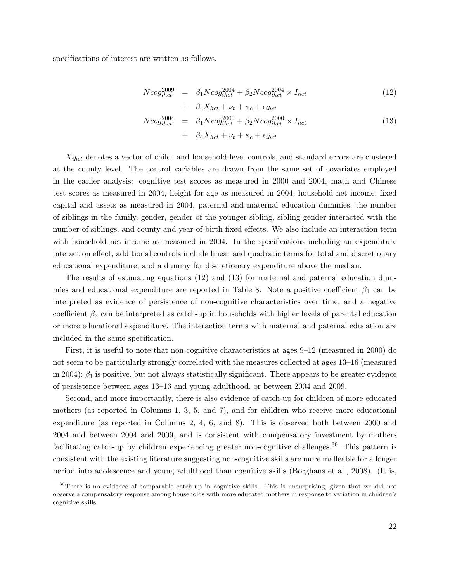specifications of interest are written as follows.

<span id="page-21-0"></span>
$$
Ncog_{ihct}^{2009} = \beta_1 Ncog_{ihct}^{2004} + \beta_2 Ncog_{ihct}^{2004} \times I_{hct}
$$
  
+ 
$$
\beta_4 X_{hct} + \nu_t + \kappa_c + \epsilon_{ihct}
$$
 (12)

$$
Ncog2004 = \beta_1 Ncog2000 + \beta_4 X_{hct} + \nu_t + \kappa_c + \epsilon_{ihct}
$$
  
+ 
$$
\beta_4 X_{hct} + \nu_t + \kappa_c + \epsilon_{ihct}
$$
 (13)

 $X_{ihct}$  denotes a vector of child- and household-level controls, and standard errors are clustered at the county level. The control variables are drawn from the same set of covariates employed in the earlier analysis: cognitive test scores as measured in 2000 and 2004, math and Chinese test scores as measured in 2004, height-for-age as measured in 2004, household net income, fixed capital and assets as measured in 2004, paternal and maternal education dummies, the number of siblings in the family, gender, gender of the younger sibling, sibling gender interacted with the number of siblings, and county and year-of-birth fixed effects. We also include an interaction term with household net income as measured in 2004. In the specifications including an expenditure interaction effect, additional controls include linear and quadratic terms for total and discretionary educational expenditure, and a dummy for discretionary expenditure above the median.

The results of estimating equations [\(12\)](#page-21-0) and [\(13\)](#page-21-0) for maternal and paternal education dum-mies and educational expenditure are reported in Table [8.](#page-39-0) Note a positive coefficient  $\beta_1$  can be interpreted as evidence of persistence of non-cognitive characteristics over time, and a negative coefficient  $\beta_2$  can be interpreted as catch-up in households with higher levels of parental education or more educational expenditure. The interaction terms with maternal and paternal education are included in the same specification.

First, it is useful to note that non-cognitive characteristics at ages 9–12 (measured in 2000) do not seem to be particularly strongly correlated with the measures collected at ages 13–16 (measured in 2004);  $\beta_1$  is positive, but not always statistically significant. There appears to be greater evidence of persistence between ages 13–16 and young adulthood, or between 2004 and 2009.

Second, and more importantly, there is also evidence of catch-up for children of more educated mothers (as reported in Columns 1, 3, 5, and 7), and for children who receive more educational expenditure (as reported in Columns 2, 4, 6, and 8). This is observed both between 2000 and 2004 and between 2004 and 2009, and is consistent with compensatory investment by mothers facilitating catch-up by children experiencing greater non-cognitive challenges.<sup>[30](#page-21-1)</sup> This pattern is consistent with the existing literature suggesting non-cognitive skills are more malleable for a longer period into adolescence and young adulthood than cognitive skills [\(Borghans et al., 2008\)](#page-26-11). (It is,

<span id="page-21-1"></span><sup>&</sup>lt;sup>30</sup>There is no evidence of comparable catch-up in cognitive skills. This is unsurprising, given that we did not observe a compensatory response among households with more educated mothers in response to variation in children's cognitive skills.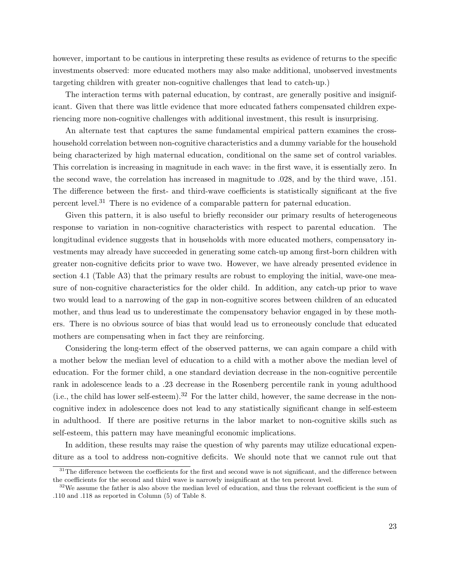however, important to be cautious in interpreting these results as evidence of returns to the specific investments observed: more educated mothers may also make additional, unobserved investments targeting children with greater non-cognitive challenges that lead to catch-up.)

The interaction terms with paternal education, by contrast, are generally positive and insignificant. Given that there was little evidence that more educated fathers compensated children experiencing more non-cognitive challenges with additional investment, this result is insurprising.

An alternate test that captures the same fundamental empirical pattern examines the crosshousehold correlation between non-cognitive characteristics and a dummy variable for the household being characterized by high maternal education, conditional on the same set of control variables. This correlation is increasing in magnitude in each wave: in the first wave, it is essentially zero. In the second wave, the correlation has increased in magnitude to .028, and by the third wave, .151. The difference between the first- and third-wave coefficients is statistically significant at the five percent level.[31](#page-22-0) There is no evidence of a comparable pattern for paternal education.

Given this pattern, it is also useful to briefly reconsider our primary results of heterogeneous response to variation in non-cognitive characteristics with respect to parental education. The longitudinal evidence suggests that in households with more educated mothers, compensatory investments may already have succeeded in generating some catch-up among first-born children with greater non-cognitive deficits prior to wave two. However, we have already presented evidence in section [4.1](#page-11-1) (Table [A3\)](#page-42-0) that the primary results are robust to employing the initial, wave-one measure of non-cognitive characteristics for the older child. In addition, any catch-up prior to wave two would lead to a narrowing of the gap in non-cognitive scores between children of an educated mother, and thus lead us to underestimate the compensatory behavior engaged in by these mothers. There is no obvious source of bias that would lead us to erroneously conclude that educated mothers are compensating when in fact they are reinforcing.

Considering the long-term effect of the observed patterns, we can again compare a child with a mother below the median level of education to a child with a mother above the median level of education. For the former child, a one standard deviation decrease in the non-cognitive percentile rank in adolescence leads to a .23 decrease in the Rosenberg percentile rank in young adulthood (i.e., the child has lower self-esteem).[32](#page-22-1) For the latter child, however, the same decrease in the noncognitive index in adolescence does not lead to any statistically significant change in self-esteem in adulthood. If there are positive returns in the labor market to non-cognitive skills such as self-esteem, this pattern may have meaningful economic implications.

In addition, these results may raise the question of why parents may utilize educational expenditure as a tool to address non-cognitive deficits. We should note that we cannot rule out that

<span id="page-22-0"></span><sup>&</sup>lt;sup>31</sup>The difference between the coefficients for the first and second wave is not significant, and the difference between the coefficients for the second and third wave is narrowly insignificant at the ten percent level.

<span id="page-22-1"></span> $32\text{We assume the father is also above the median level of education, and thus the relevant coefficient is the sum of the system.}$ .110 and .118 as reported in Column (5) of Table [8.](#page-39-0)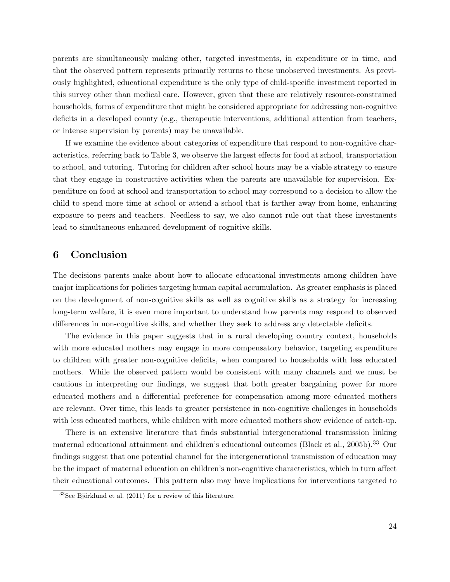parents are simultaneously making other, targeted investments, in expenditure or in time, and that the observed pattern represents primarily returns to these unobserved investments. As previously highlighted, educational expenditure is the only type of child-specific investment reported in this survey other than medical care. However, given that these are relatively resource-constrained households, forms of expenditure that might be considered appropriate for addressing non-cognitive deficits in a developed county (e.g., therapeutic interventions, additional attention from teachers, or intense supervision by parents) may be unavailable.

If we examine the evidence about categories of expenditure that respond to non-cognitive characteristics, referring back to Table [3,](#page-34-0) we observe the largest effects for food at school, transportation to school, and tutoring. Tutoring for children after school hours may be a viable strategy to ensure that they engage in constructive activities when the parents are unavailable for supervision. Expenditure on food at school and transportation to school may correspond to a decision to allow the child to spend more time at school or attend a school that is farther away from home, enhancing exposure to peers and teachers. Needless to say, we also cannot rule out that these investments lead to simultaneous enhanced development of cognitive skills.

### <span id="page-23-0"></span>6 Conclusion

The decisions parents make about how to allocate educational investments among children have major implications for policies targeting human capital accumulation. As greater emphasis is placed on the development of non-cognitive skills as well as cognitive skills as a strategy for increasing long-term welfare, it is even more important to understand how parents may respond to observed differences in non-cognitive skills, and whether they seek to address any detectable deficits.

The evidence in this paper suggests that in a rural developing country context, households with more educated mothers may engage in more compensatory behavior, targeting expenditure to children with greater non-cognitive deficits, when compared to households with less educated mothers. While the observed pattern would be consistent with many channels and we must be cautious in interpreting our findings, we suggest that both greater bargaining power for more educated mothers and a differential preference for compensation among more educated mothers are relevant. Over time, this leads to greater persistence in non-cognitive challenges in households with less educated mothers, while children with more educated mothers show evidence of catch-up.

There is an extensive literature that finds substantial intergenerational transmission linking maternal educational attainment and children's educational outcomes [\(Black et al., 2005b\)](#page-26-12).<sup>[33](#page-23-1)</sup> Our findings suggest that one potential channel for the intergenerational transmission of education may be the impact of maternal education on children's non-cognitive characteristics, which in turn affect their educational outcomes. This pattern also may have implications for interventions targeted to

<span id="page-23-1"></span> $33$ See Björklund et al. [\(2011\)](#page-26-13) for a review of this literature.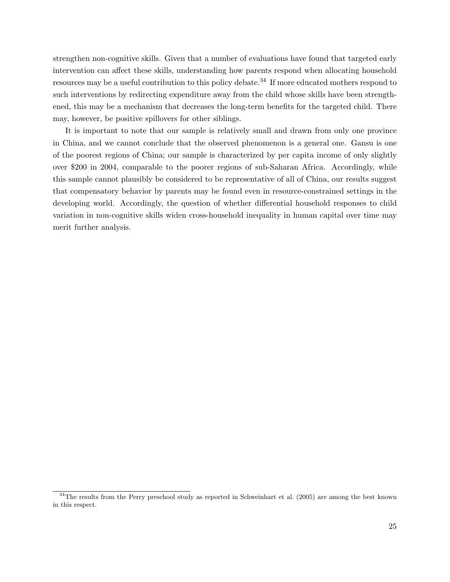strengthen non-cognitive skills. Given that a number of evaluations have found that targeted early intervention can affect these skills, understanding how parents respond when allocating household resources may be a useful contribution to this policy debate.<sup>[34](#page-24-0)</sup> If more educated mothers respond to such interventions by redirecting expenditure away from the child whose skills have been strengthened, this may be a mechanism that decreases the long-term benefits for the targeted child. There may, however, be positive spillovers for other siblings.

It is important to note that our sample is relatively small and drawn from only one province in China, and we cannot conclude that the observed phenomenon is a general one. Gansu is one of the poorest regions of China; our sample is characterized by per capita income of only slightly over \$200 in 2004, comparable to the poorer regions of sub-Saharan Africa. Accordingly, while this sample cannot plausibly be considered to be representative of all of China, our results suggest that compensatory behavior by parents may be found even in resource-constrained settings in the developing world. Accordingly, the question of whether differential household responses to child variation in non-cognitive skills widen cross-household inequality in human capital over time may merit further analysis.

<span id="page-24-0"></span><sup>&</sup>lt;sup>34</sup>The results from the Perry preschool study as reported in [Schweinhart et al.](#page-29-2) [\(2005\)](#page-29-2) are among the best known in this respect.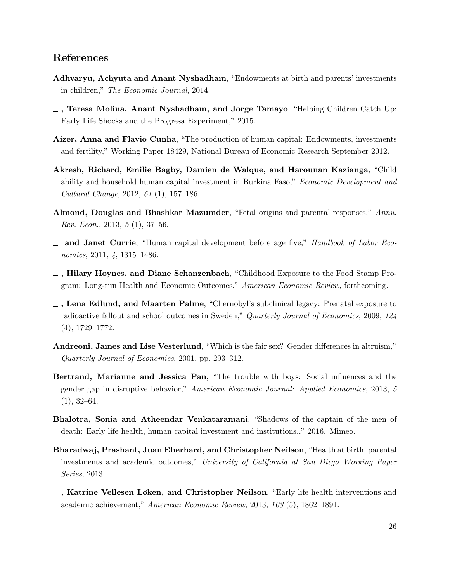### References

- <span id="page-25-5"></span>Adhvaryu, Achyuta and Anant Nyshadham, "Endowments at birth and parents' investments in children," The Economic Journal, 2014.
- <span id="page-25-9"></span>, Teresa Molina, Anant Nyshadham, and Jorge Tamayo, "Helping Children Catch Up: Early Life Shocks and the Progresa Experiment," 2015.
- <span id="page-25-6"></span>Aizer, Anna and Flavio Cunha, "The production of human capital: Endowments, investments and fertility," Working Paper 18429, National Bureau of Economic Research September 2012.
- <span id="page-25-3"></span>Akresh, Richard, Emilie Bagby, Damien de Walque, and Harounan Kazianga, "Child ability and household human capital investment in Burkina Faso," Economic Development and Cultural Change, 2012, 61 (1), 157–186.
- <span id="page-25-0"></span>Almond, Douglas and Bhashkar Mazumder, "Fetal origins and parental responses," Annu. Rev. Econ., 2013,  $5(1)$ , 37-56.
- <span id="page-25-2"></span>and Janet Currie, "Human capital development before age five," Handbook of Labor Economics, 2011, 4, 1315–1486.
- <span id="page-25-10"></span>, Hilary Hoynes, and Diane Schanzenbach, "Childhood Exposure to the Food Stamp Program: Long-run Health and Economic Outcomes," American Economic Review, forthcoming.
- <span id="page-25-4"></span>, Lena Edlund, and Maarten Palme, "Chernobyl's subclinical legacy: Prenatal exposure to radioactive fallout and school outcomes in Sweden," Quarterly Journal of Economics, 2009, 124 (4), 1729–1772.
- <span id="page-25-12"></span>Andreoni, James and Lise Vesterlund, "Which is the fair sex? Gender differences in altruism," Quarterly Journal of Economics, 2001, pp. 293–312.
- <span id="page-25-11"></span>Bertrand, Marianne and Jessica Pan, "The trouble with boys: Social influences and the gender gap in disruptive behavior," American Economic Journal: Applied Economics, 2013, 5  $(1), 32-64.$
- <span id="page-25-8"></span>Bhalotra, Sonia and Atheendar Venkataramani, "Shadows of the captain of the men of death: Early life health, human capital investment and institutions.," 2016. Mimeo.
- <span id="page-25-7"></span>Bharadwaj, Prashant, Juan Eberhard, and Christopher Neilson, "Health at birth, parental investments and academic outcomes," University of California at San Diego Working Paper Series, 2013.
- <span id="page-25-1"></span> $\Box$ , Katrine Vellesen Løken, and Christopher Neilson, "Early life health interventions and academic achievement," American Economic Review, 2013, 103 (5), 1862–1891.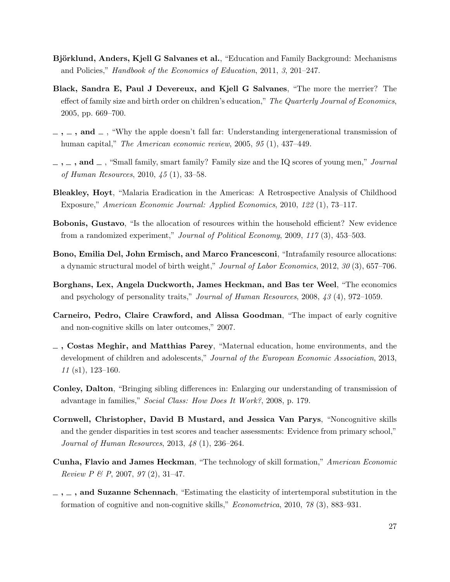- <span id="page-26-13"></span>Björklund, Anders, Kjell G Salvanes et al., "Education and Family Background: Mechanisms and Policies," Handbook of the Economics of Education, 2011, 3, 201–247.
- <span id="page-26-8"></span>Black, Sandra E, Paul J Devereux, and Kjell G Salvanes, "The more the merrier? The effect of family size and birth order on children's education," The Quarterly Journal of Economics, 2005, pp. 669–700.
- <span id="page-26-12"></span> $\ldots$ , and  $\ldots$ , "Why the apple doesn't fall far: Understanding intergenerational transmission of human capital," *The American economic review*, 2005, 95 (1), 437–449.
- <span id="page-26-3"></span> $\ldots$ ,  $\ldots$ , and  $\ldots$ , "Small family, smart family? Family size and the IQ scores of young men," *Journal* of Human Resources, 2010, 45 (1), 33–58.
- <span id="page-26-4"></span>Bleakley, Hoyt, "Malaria Eradication in the Americas: A Retrospective Analysis of Childhood Exposure," American Economic Journal: Applied Economics, 2010, 122 (1), 73–117.
- <span id="page-26-9"></span>Bobonis, Gustavo, "Is the allocation of resources within the household efficient? New evidence from a randomized experiment," Journal of Political Economy, 2009, 117 (3), 453–503.
- <span id="page-26-2"></span>Bono, Emilia Del, John Ermisch, and Marco Francesconi, "Intrafamily resource allocations: a dynamic structural model of birth weight," Journal of Labor Economics, 2012, 30 (3), 657–706.
- <span id="page-26-11"></span>Borghans, Lex, Angela Duckworth, James Heckman, and Bas ter Weel, "The economics and psychology of personality traits," Journal of Human Resources, 2008, 43 (4), 972–1059.
- <span id="page-26-0"></span>Carneiro, Pedro, Claire Crawford, and Alissa Goodman, "The impact of early cognitive and non-cognitive skills on later outcomes," 2007.
- <span id="page-26-1"></span> $\overline{\phantom{a}}$ , Costas Meghir, and Matthias Parey, "Maternal education, home environments, and the development of children and adolescents," Journal of the European Economic Association, 2013,  $11$  (s1), 123-160.
- <span id="page-26-10"></span>Conley, Dalton, "Bringing sibling differences in: Enlarging our understanding of transmission of advantage in families," Social Class: How Does It Work?, 2008, p. 179.
- <span id="page-26-7"></span>Cornwell, Christopher, David B Mustard, and Jessica Van Parys, "Noncognitive skills and the gender disparities in test scores and teacher assessments: Evidence from primary school," Journal of Human Resources, 2013, 48 (1), 236–264.
- <span id="page-26-5"></span>Cunha, Flavio and James Heckman, "The technology of skill formation," American Economic Review  $P \& P$ , 2007, 97 (2), 31–47.
- <span id="page-26-6"></span> $\sim$ ,  $\sim$ , and Suzanne Schennach, "Estimating the elasticity of intertemporal substitution in the formation of cognitive and non-cognitive skills," Econometrica, 2010, 78 (3), 883–931.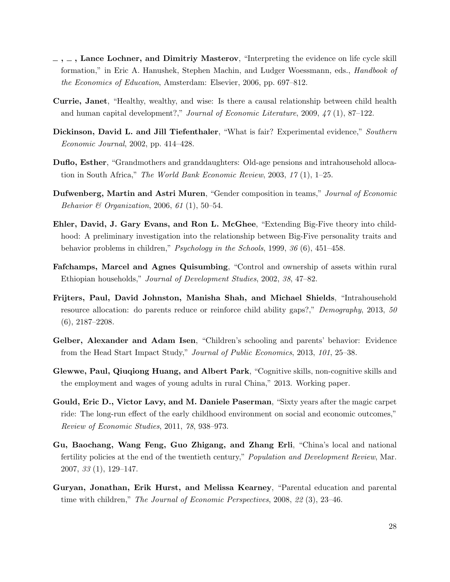- <span id="page-27-0"></span> $\ldots$ , Lance Lochner, and Dimitriy Masterov, "Interpreting the evidence on life cycle skill formation," in Eric A. Hanushek, Stephen Machin, and Ludger Woessmann, eds., Handbook of the Economics of Education, Amsterdam: Elsevier, 2006, pp. 697–812.
- <span id="page-27-1"></span>Currie, Janet, "Healthy, wealthy, and wise: Is there a causal relationship between child health and human capital development?," Journal of Economic Literature,  $2009, 47(1), 87-122$ .
- <span id="page-27-8"></span>Dickinson, David L. and Jill Tiefenthaler, "What is fair? Experimental evidence," Southern Economic Journal, 2002, pp. 414–428.
- <span id="page-27-10"></span>Duflo, Esther, "Grandmothers and granddaughters: Old-age pensions and intrahousehold allocation in South Africa," The World Bank Economic Review, 2003, 17 (1), 1–25.
- <span id="page-27-9"></span>Dufwenberg, Martin and Astri Muren, "Gender composition in teams," Journal of Economic Behavior & Organization, 2006, 61 $(1)$ , 50-54.
- <span id="page-27-6"></span>Ehler, David, J. Gary Evans, and Ron L. McGhee, "Extending Big-Five theory into childhood: A preliminary investigation into the relationship between Big-Five personality traits and behavior problems in children," Psychology in the Schools, 1999, 36 (6), 451–458.
- <span id="page-27-11"></span>Fafchamps, Marcel and Agnes Quisumbing, "Control and ownership of assets within rural Ethiopian households," Journal of Development Studies, 2002, 38, 47–82.
- <span id="page-27-2"></span>Frijters, Paul, David Johnston, Manisha Shah, and Michael Shields, "Intrahousehold resource allocation: do parents reduce or reinforce child ability gaps?," Demography, 2013, 50 (6), 2187–2208.
- <span id="page-27-4"></span>Gelber, Alexander and Adam Isen, "Children's schooling and parents' behavior: Evidence from the Head Start Impact Study," Journal of Public Economics, 2013, 101, 25–38.
- <span id="page-27-5"></span>Glewwe, Paul, Qiuqiong Huang, and Albert Park, "Cognitive skills, non-cognitive skills and the employment and wages of young adults in rural China," 2013. Working paper.
- <span id="page-27-3"></span>Gould, Eric D., Victor Lavy, and M. Daniele Paserman, "Sixty years after the magic carpet ride: The long-run effect of the early childhood environment on social and economic outcomes," Review of Economic Studies, 2011, 78, 938–973.
- <span id="page-27-7"></span>Gu, Baochang, Wang Feng, Guo Zhigang, and Zhang Erli, "China's local and national fertility policies at the end of the twentieth century," Population and Development Review, Mar. 2007, 33 (1), 129–147.
- <span id="page-27-12"></span>Guryan, Jonathan, Erik Hurst, and Melissa Kearney, "Parental education and parental time with children," The Journal of Economic Perspectives, 2008, 22 (3), 23–46.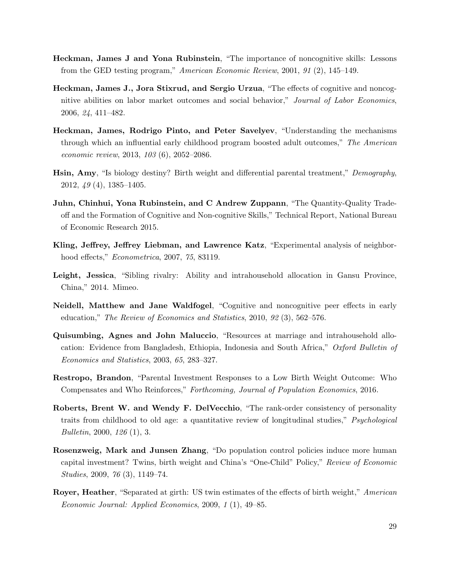- <span id="page-28-0"></span>Heckman, James J and Yona Rubinstein, "The importance of noncognitive skills: Lessons from the GED testing program," American Economic Review, 2001, 91 (2), 145–149.
- <span id="page-28-1"></span>Heckman, James J., Jora Stixrud, and Sergio Urzua, "The effects of cognitive and noncognitive abilities on labor market outcomes and social behavior," Journal of Labor Economics, 2006, 24, 411–482.
- <span id="page-28-8"></span>Heckman, James, Rodrigo Pinto, and Peter Savelyev, "Understanding the mechanisms through which an influential early childhood program boosted adult outcomes," The American economic review, 2013, 103 (6), 2052–2086.
- <span id="page-28-5"></span>Hsin, Amy, "Is biology destiny? Birth weight and differential parental treatment," Demography, 2012, 49 (4), 1385–1405.
- <span id="page-28-10"></span>Juhn, Chinhui, Yona Rubinstein, and C Andrew Zuppann, "The Quantity-Quality Tradeoff and the Formation of Cognitive and Non-cognitive Skills," Technical Report, National Bureau of Economic Research 2015.
- <span id="page-28-7"></span>Kling, Jeffrey, Jeffrey Liebman, and Lawrence Katz, "Experimental analysis of neighborhood effects," Econometrica, 2007, 75, 83119.
- <span id="page-28-4"></span>Leight, Jessica, "Sibling rivalry: Ability and intrahousehold allocation in Gansu Province, China," 2014. Mimeo.
- <span id="page-28-9"></span>Neidell, Matthew and Jane Waldfogel, "Cognitive and noncognitive peer effects in early education," The Review of Economics and Statistics, 2010, 92 (3), 562–576.
- <span id="page-28-11"></span>Quisumbing, Agnes and John Maluccio, "Resources at marriage and intrahousehold allocation: Evidence from Bangladesh, Ethiopia, Indonesia and South Africa," Oxford Bulletin of Economics and Statistics, 2003, 65, 283–327.
- <span id="page-28-6"></span>Restropo, Brandon, "Parental Investment Responses to a Low Birth Weight Outcome: Who Compensates and Who Reinforces," Forthcoming, Journal of Population Economics, 2016.
- <span id="page-28-12"></span>Roberts, Brent W. and Wendy F. DelVecchio, "The rank-order consistency of personality traits from childhood to old age: a quantitative review of longitudinal studies," Psychological Bulletin, 2000, 126 (1), 3.
- <span id="page-28-3"></span>Rosenzweig, Mark and Junsen Zhang, "Do population control policies induce more human capital investment? Twins, birth weight and China's "One-Child" Policy," Review of Economic Studies, 2009, 76 (3), 1149–74.
- <span id="page-28-2"></span>Royer, Heather, "Separated at girth: US twin estimates of the effects of birth weight," American Economic Journal: Applied Economics, 2009, 1 (1), 49–85.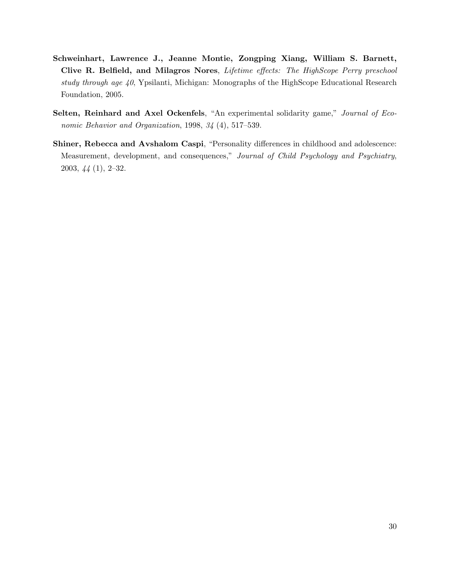- <span id="page-29-2"></span>Schweinhart, Lawrence J., Jeanne Montie, Zongping Xiang, William S. Barnett, Clive R. Belfield, and Milagros Nores, Lifetime effects: The HighScope Perry preschool study through age 40, Ypsilanti, Michigan: Monographs of the HighScope Educational Research Foundation, 2005.
- <span id="page-29-0"></span>Selten, Reinhard and Axel Ockenfels, "An experimental solidarity game," Journal of Economic Behavior and Organization, 1998, 34 (4), 517–539.
- <span id="page-29-1"></span>Shiner, Rebecca and Avshalom Caspi, "Personality differences in childhood and adolescence: Measurement, development, and consequences," Journal of Child Psychology and Psychiatry, 2003, 44 (1), 2–32.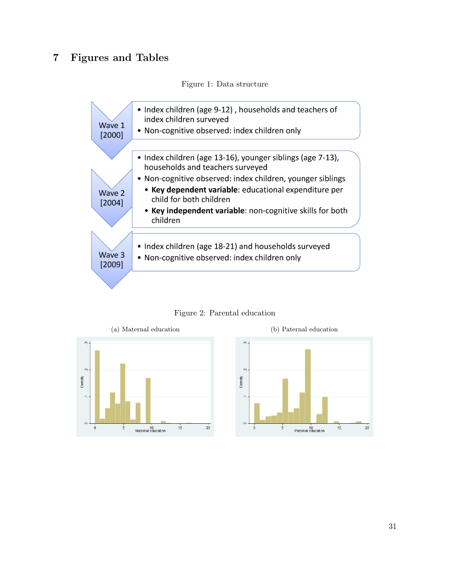## <span id="page-30-0"></span>7 Figures and Tables

Figure 1: Data structure





<span id="page-30-1"></span>

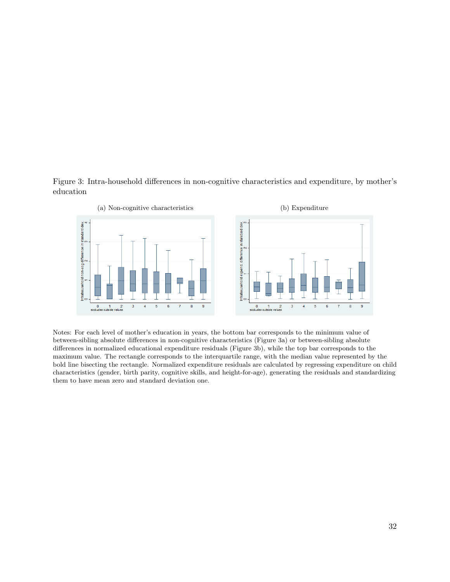Figure 3: Intra-household differences in non-cognitive characteristics and expenditure, by mother's education

<span id="page-31-1"></span><span id="page-31-0"></span>

Notes: For each level of mother's education in years, the bottom bar corresponds to the minimum value of between-sibling absolute differences in non-cognitive characteristics (Figure 3a) or between-sibling absolute differences in normalized educational expenditure residuals (Figure 3b), while the top bar corresponds to the maximum value. The rectangle corresponds to the interquartile range, with the median value represented by the bold line bisecting the rectangle. Normalized expenditure residuals are calculated by regressing expenditure on child characteristics (gender, birth parity, cognitive skills, and height-for-age), generating the residuals and standardizing them to have mean zero and standard deviation one.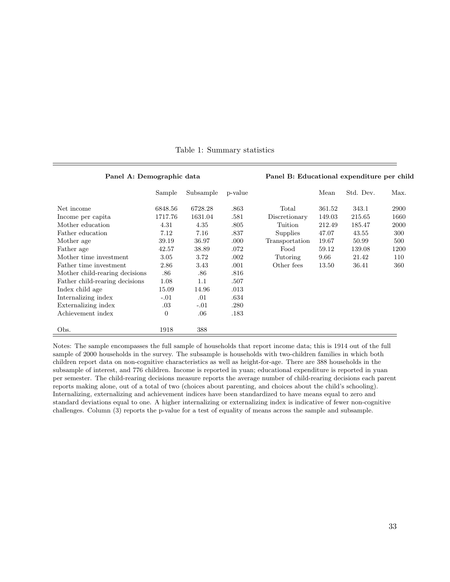<span id="page-32-0"></span>

| Panel A: Demographic data      |                |           |         | Panel B: Educational expenditure per child |        |           |      |
|--------------------------------|----------------|-----------|---------|--------------------------------------------|--------|-----------|------|
|                                | Sample         | Subsample | p-value |                                            | Mean   | Std. Dev. | Max. |
| Net income                     | 6848.56        | 6728.28   | .863    | Total                                      | 361.52 | 343.1     | 2900 |
| Income per capita              | 1717.76        | 1631.04   | .581    | Discretionary                              | 149.03 | 215.65    | 1660 |
| Mother education               | 4.31           | 4.35      | .805    | Tuition                                    | 212.49 | 185.47    | 2000 |
| Father education               | 7.12           | 7.16      | .837    | Supplies                                   | 47.07  | 43.55     | 300  |
| Mother age                     | 39.19          | 36.97     | .000    | Transportation                             | 19.67  | 50.99     | 500  |
| Father age                     | 42.57          | 38.89     | .072    | Food                                       | 59.12  | 139.08    | 1200 |
| Mother time investment         | 3.05           | 3.72      | .002    | Tutoring                                   | 9.66   | 21.42     | 110  |
| Father time investment         | 2.86           | 3.43      | .001    | Other fees                                 | 13.50  | 36.41     | 360  |
| Mother child-rearing decisions | .86            | .86       | .816    |                                            |        |           |      |
| Father child-rearing decisions | 1.08           | 1.1       | .507    |                                            |        |           |      |
| Index child age                | 15.09          | 14.96     | .013    |                                            |        |           |      |
| Internalizing index            | $-.01$         | .01       | .634    |                                            |        |           |      |
| Externalizing index            | .03            | $-.01$    | .280    |                                            |        |           |      |
| Achievement index              | $\overline{0}$ | .06       | .183    |                                            |        |           |      |
| Obs.                           | 1918           | 388       |         |                                            |        |           |      |

Table 1: Summary statistics

Notes: The sample encompasses the full sample of households that report income data; this is 1914 out of the full sample of 2000 households in the survey. The subsample is households with two-children families in which both children report data on non-cognitive characteristics as well as height-for-age. There are 388 households in the subsample of interest, and 776 children. Income is reported in yuan; educational expenditure is reported in yuan per semester. The child-rearing decisions measure reports the average number of child-rearing decisions each parent reports making alone, out of a total of two (choices about parenting, and choices about the child's schooling). Internalizing, externalizing and achievement indices have been standardized to have means equal to zero and standard deviations equal to one. A higher internalizing or externalizing index is indicative of fewer non-cognitive challenges. Column (3) reports the p-value for a test of equality of means across the sample and subsample.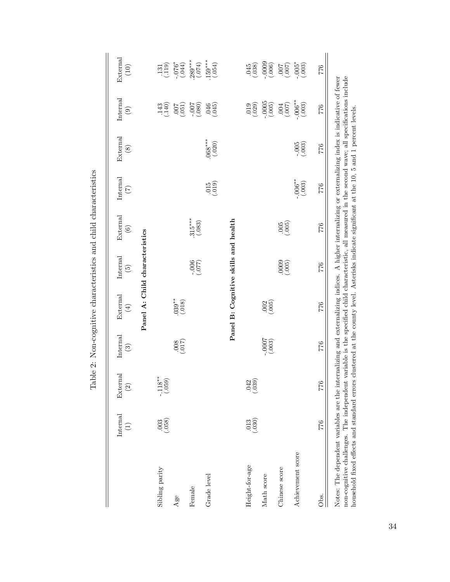<span id="page-33-0"></span>

| Sibling parity<br>Grade level<br>Female | (0.03) | $-118$ **<br>(.059) | (010) | Panel A: Child characteristics<br>(.018) |         |                     | $\widetilde{C}$ | $\circledast$      | $\odot$               | (10)                                                                                                                                                                                                                                                                                                                                                                                                                                                                        |
|-----------------------------------------|--------|---------------------|-------|------------------------------------------|---------|---------------------|-----------------|--------------------|-----------------------|-----------------------------------------------------------------------------------------------------------------------------------------------------------------------------------------------------------------------------------------------------------------------------------------------------------------------------------------------------------------------------------------------------------------------------------------------------------------------------|
|                                         |        |                     |       |                                          |         |                     |                 |                    |                       |                                                                                                                                                                                                                                                                                                                                                                                                                                                                             |
|                                         |        |                     |       |                                          |         |                     |                 |                    | $\frac{143}{(140)}$   | $\frac{131}{(119)}$                                                                                                                                                                                                                                                                                                                                                                                                                                                         |
|                                         |        |                     |       |                                          |         |                     |                 |                    | (160.                 | $(140)$ .                                                                                                                                                                                                                                                                                                                                                                                                                                                                   |
|                                         |        |                     |       |                                          | (0.000) | $.315***$<br>(.083) |                 |                    | (080, 7)              | $289***$<br>(.074)                                                                                                                                                                                                                                                                                                                                                                                                                                                          |
|                                         |        |                     |       |                                          |         |                     | (015)           | $068***$<br>(.020) | $.046$<br>$(045)$     | $159***$<br>(.054)                                                                                                                                                                                                                                                                                                                                                                                                                                                          |
|                                         |        |                     |       | Panel B: Cognitive skills and health     |         |                     |                 |                    |                       |                                                                                                                                                                                                                                                                                                                                                                                                                                                                             |
| Height-for-age                          | (030)  | (0.039)             |       |                                          |         |                     |                 |                    | (0.019)               | (0.038)                                                                                                                                                                                                                                                                                                                                                                                                                                                                     |
| Math score                              |        |                     | (500) | $.002$<br>$(.005)$                       |         |                     |                 |                    | $-0.005$<br>(.005)    | $-0000$<br>(.000)                                                                                                                                                                                                                                                                                                                                                                                                                                                           |
| Chinese score                           |        |                     |       |                                          |         | (005)               |                 |                    |                       | $(200)$<br>$(200)$                                                                                                                                                                                                                                                                                                                                                                                                                                                          |
| Achievement score                       |        |                     |       |                                          |         |                     | $-0.006**$      | $-005$<br>$(003)$  | $-0.006$ **<br>(.003) | $-0.005$ <sup>*</sup>                                                                                                                                                                                                                                                                                                                                                                                                                                                       |
|                                         | 776    | 776                 | 776   | 776                                      | 776     | 776                 | 776             | 776                | 776                   | 776                                                                                                                                                                                                                                                                                                                                                                                                                                                                         |
|                                         |        |                     |       |                                          |         | (900)               |                 |                    |                       | non-cognitive challenges. The independent variable is the specified child characteristic, all measured in the second wave; all specifications include<br>Notes: The dependent variables are the internalizing and externalizing indices. A higher internalizing or externalizing index is indicative of fewer<br>(000, 000)<br>household fixed effects and standard errors clustered at the county level. Asterisks indicate significant at the 10, 5 and 1 percent levels. |

Table 2: Non-cognitive characteristics and child characteristics Table 2: Non-cognitive characteristics and child characteristics

34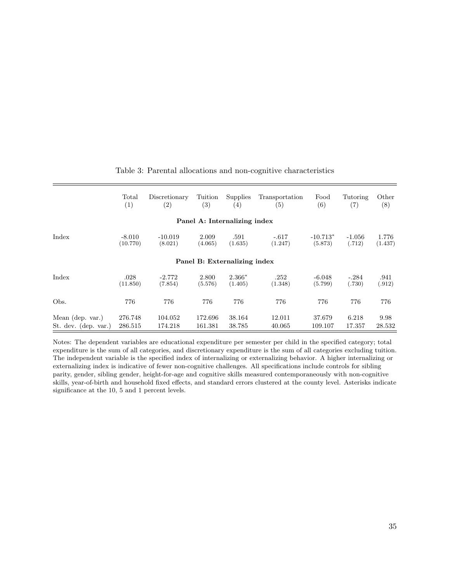<span id="page-34-0"></span>

|                               | Total<br>(1)         | Discretionary<br>(2) | Tuition<br>(3)     | Supplies<br>(4)              | Transportation<br>(5) | Food<br>(6)           | Tutoring<br>(7)    | Other<br>(8)     |
|-------------------------------|----------------------|----------------------|--------------------|------------------------------|-----------------------|-----------------------|--------------------|------------------|
|                               |                      |                      |                    | Panel A: Internalizing index |                       |                       |                    |                  |
| Index                         | $-8.010$<br>(10.770) | $-10.019$<br>(8.021) | 2.009<br>(4.065)   | .591<br>(1.635)              | $-.617$<br>(1.247)    | $-10.713*$<br>(5.873) | $-1.056$<br>(.712) | 1.776<br>(1.437) |
|                               |                      |                      |                    | Panel B: Externalizing index |                       |                       |                    |                  |
| Index                         | .028<br>(11.850)     | $-2.772$<br>(7.854)  | 2.800<br>(5.576)   | $2.366*$<br>(1.405)          | .252<br>(1.348)       | $-6.048$<br>(5.799)   | $-.284$<br>(.730)  | .941<br>(.912)   |
| Obs.                          | 776                  | 776                  | 776                | 776                          | 776                   | 776                   | 776                | 776              |
| Mean (dep. var.)              | 276.748<br>286.515   | 104.052              | 172.696<br>161.381 | 38.164                       | 12.011                | 37.679                | 6.218<br>17.357    | 9.98<br>28.532   |
| St. dev. $(\text{dep. var.})$ |                      | 174.218              |                    | 38.785                       | 40.065                | 109.107               |                    |                  |

#### Table 3: Parental allocations and non-cognitive characteristics

Notes: The dependent variables are educational expenditure per semester per child in the specified category; total expenditure is the sum of all categories, and discretionary expenditure is the sum of all categories excluding tuition. The independent variable is the specified index of internalizing or externalizing behavior. A higher internalizing or externalizing index is indicative of fewer non-cognitive challenges. All specifications include controls for sibling parity, gender, sibling gender, height-for-age and cognitive skills measured contemporaneously with non-cognitive skills, year-of-birth and household fixed effects, and standard errors clustered at the county level. Asterisks indicate significance at the 10, 5 and 1 percent levels.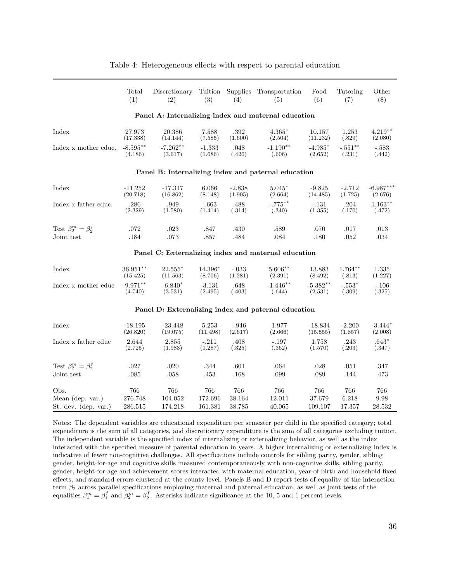<span id="page-35-0"></span>

|                              | Total<br>(1) | Discretionary<br>(2) | Tuition<br>(3) | (4)      | Supplies Transportation<br>(5)                      | Food<br>(6) | Tutoring<br>(7) | Other<br>(8) |
|------------------------------|--------------|----------------------|----------------|----------|-----------------------------------------------------|-------------|-----------------|--------------|
|                              |              |                      |                |          | Panel A: Internalizing index and maternal education |             |                 |              |
| Index                        | 27.973       | 20.386               | 7.588          | .392     | $4.365*$                                            | 10.157      | 1.253           | $4.219**$    |
|                              | (17.338)     | (14.144)             | (7.585)        | (1.600)  | (2.504)                                             | (11.232)    | (.829)          | (2.080)      |
| Index x mother educ.         | $-8.595***$  | $-7.262**$           | $-1.333$       | .048     | $-1.190**$                                          | $-4.985*$   | $-.551***$      | $-.583$      |
|                              | (4.186)      | (3.617)              | (1.686)        | (.426)   | (.606)                                              | (2.652)     | (.231)          | (.442)       |
|                              |              |                      |                |          | Panel B: Internalizing index and paternal education |             |                 |              |
| Index                        | $-11.252$    | $-17.317$            | 6.066          | $-2.838$ | $5.045*$                                            | $-9.825$    | $-2.712$        | $-6.987***$  |
|                              | (20.718)     | (16.862)             | (8.148)        | (1.905)  | (2.664)                                             | (14.485)    | (1.725)         | (2.676)      |
| Index x father educ.         | .286         | .949                 | $-.663$        | .488     | $-.775***$                                          | $-.131$     | .204            | $1.163**$    |
|                              | (2.329)      | (1.580)              | (1.414)        | (.314)   | (.340)                                              | (1.355)     | (.170)          | (.472)       |
| Test $\beta_2^m = \beta_2^f$ | .072         | .023                 | .847           | .430     | .589                                                | .070        | .017            | .013         |
| Joint test                   | .184         | .073                 | .857           | .484     | .084                                                | .180        | .052            | .034         |
|                              |              |                      |                |          | Panel C: Externalizing index and maternal education |             |                 |              |
| Index                        | $36.951**$   | $22.555*$            | $14.396*$      | $-.033$  | $5.606**$                                           | 13.883      | $1.764***$      | 1.335        |
|                              | (15.425)     | (11.563)             | (8.706)        | (1.281)  | (2.391)                                             | (8.492)     | (.813)          | (1.227)      |
| Index x mother educ          | $-9.971**$   | $-6.840*$            | $-3.131$       | .648     | $-1.446**$                                          | $-5.382**$  | $-.553*$        | $-.106$      |
|                              | (4.740)      | (3.531)              | (2.495)        | (.403)   | (.644)                                              | (2.531)     | (.309)          | (.325)       |
|                              |              |                      |                |          | Panel D: Externalizing index and paternal education |             |                 |              |
| Index                        | $-18.195$    | $-23.448$            | 5.253          | $-.946$  | 1.977                                               | $-18.834$   | $-2.200$        | $-3.444*$    |
|                              | (26.820)     | (19.075)             | (11.498)       | (2.617)  | (2.666)                                             | (15.555)    | (1.857)         | (2.008)      |
| Index x father educ          | 2.644        | 2.855                | $-.211$        | .408     | $-.197$                                             | 1.758       | .243            | $.643*$      |
|                              | (2.725)      | (1.983)              | (1.287)        | (.325)   | (.362)                                              | (1.570)     | (.203)          | (.347)       |
| Test $\beta_2^m = \beta_2^f$ | .027         | .020                 | .344           | .601     | .064                                                | .028        | .051            | .347         |
| Joint test                   | .085         | .058                 | .453           | .168     | .099                                                | .089        | .144            | .473         |
| Obs.                         | 766          | 766                  | 766            | 766      | 766                                                 | 766         | 766             | 766          |
| Mean (dep. var.)             | 276.748      | 104.052              | 172.696        | 38.164   | 12.011                                              | 37.679      | 6.218           | 9.98         |
| St. dev. (dep. var.)         | 286.515      | 174.218              | 161.381        | 38.785   | 40.065                                              | 109.107     | 17.357          | 28.532       |

#### Table 4: Heterogeneous effects with respect to parental education

Notes: The dependent variables are educational expenditure per semester per child in the specified category; total expenditure is the sum of all categories, and discretionary expenditure is the sum of all categories excluding tuition. The independent variable is the specified index of internalizing or externalizing behavior, as well as the index interacted with the specified measure of parental education in years. A higher internalizing or externalizing index is indicative of fewer non-cognitive challenges. All specifications include controls for sibling parity, gender, sibling gender, height-for-age and cognitive skills measured contemporaneously with non-cognitive skills, sibling parity, gender, height-for-age and achievement scores interacted with maternal education, year-of-birth and household fixed effects, and standard errors clustered at the county level. Panels B and D report tests of equality of the interaction term  $\beta_2$  across parallel specifications employing maternal and paternal education, as well as joint tests of the equalities  $\beta_1^m = \beta_1^f$  and  $\beta_2^m = \beta_2^f$ . Asterisks indicate significance at the 10, 5 and 1 percent levels.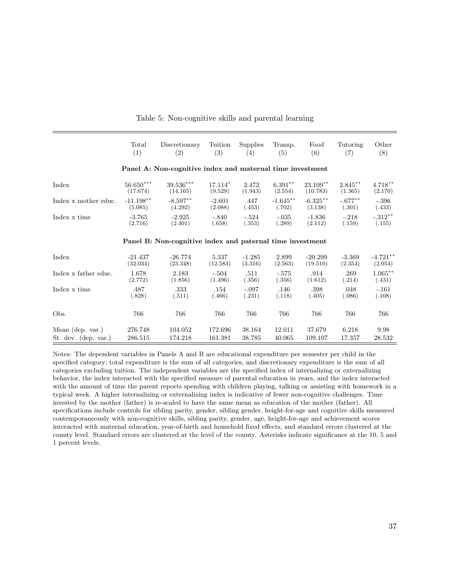<span id="page-36-0"></span>

|                      | Total       | Discretionary                                             | Tuition   | Supplies | Transp.    | Food       | Tutoring   | Other      |
|----------------------|-------------|-----------------------------------------------------------|-----------|----------|------------|------------|------------|------------|
|                      | (1)         | (2)                                                       | (3)       | (4)      | (5)        | (6)        | (7)        | (8)        |
|                      |             | Panel A: Non-cognitive index and maternal time investment |           |          |            |            |            |            |
| Index                | $56.650***$ | $39.536***$                                               | $17.114*$ | 2.472    | $6.391**$  | $23.109**$ | $2.845***$ | $4.718***$ |
|                      | (17.674)    | (14.165)                                                  | (9.529)   | (1.943)  | (2.554)    | (10.783)   | (1.365)    | (2.170)    |
| Index x mother educ. | $-11.198**$ | $-8.597**$                                                | $-2.601$  | .447     | $-1.645**$ | $-6.325**$ | $-.677**$  | $-.396$    |
|                      | (5.085)     | (4.292)                                                   | (2.088)   | (.453)   | (.702)     | (3.138)    | (.301)     | (.433)     |
| Index x time         | $-3.765$    | $-2.925$                                                  | $-.840$   | $-.524$  | $-.035$    | $-1.836$   | $-.218$    | $-.312**$  |
|                      | (2.716)     | (2.401)                                                   | (.658)    | (.353)   | (.289)     | (2.112)    | (.159)     | (.155)     |
|                      |             | Panel B: Non-cognitive index and paternal time investment |           |          |            |            |            |            |
| Index                | $-21.437$   | $-26.774$                                                 | 5.337     | $-1.285$ | 2.899      | $-20.299$  | $-3.369$   | $-4.721**$ |
|                      | (32.034)    | (23.348)                                                  | (12.583)  | (3.316)  | (2.563)    | (19.510)   | (2.354)    | (2.054)    |
| Index x father educ. | 1.678       | 2.183                                                     | $-.504$   | .511     | $-.575$    | .914       | .269       | $1.065***$ |
|                      | (2.772)     | (1.856)                                                   | (1.496)   | (.356)   | (.356)     | (1.612)    | (.214)     | (.431)     |
| Index x time         | .487        | .333                                                      | .154      | $-.097$  | .146       | .398       | .048       | $-.161$    |
|                      | (.828)      | (.511)                                                    | (.466)    | (.231)   | (.118)     | (.405)     | (.086)     | (.108)     |
| Obs.                 | 766         | 766                                                       | 766       | 766      | 766        | 766        | 766        | 766        |
| Mean (dep. var.)     | 276.748     | 104.052                                                   | 172.696   | 38.164   | 12.011     | 37.679     | 6.218      | 9.98       |
| St. dev. (dep. var.) | 286.515     | 174.218                                                   | 161.381   | 38.785   | 40.065     | 109.107    | 17.357     | 28.532     |

#### Table 5: Non-cognitive skills and parental learning

Notes: The dependent variables in Panels A and B are educational expenditure per semester per child in the specified category; total expenditure is the sum of all categories, and discretionary expenditure is the sum of all categories excluding tuition. The independent variables are the specified index of internalizing or externalizing behavior, the index interacted with the specified measure of parental education in years, and the index interacted with the amount of time the parent reports spending with children playing, talking or assisting with homework in a typical week. A higher internalizing or externalizing index is indicative of fewer non-cognitive challenges. Time invested by the mother (father) is re-scaled to have the same mean as education of the mother (father). All specifications include controls for sibling parity, gender, sibling gender, height-for-age and cognitive skills measured contemporaneously with non-cognitive skills, sibling parity, gender, age, height-for-age and achievement scores interacted with maternal education, year-of-birth and household fixed effects, and standard errors clustered at the county level. Standard errors are clustered at the level of the county. Asterisks indicate significance at the 10, 5 and 1 percent levels.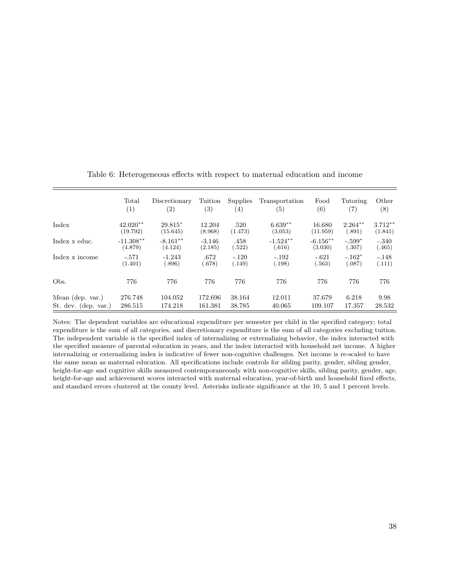<span id="page-37-0"></span>

|                           | Total             | Discretionary | Tuition  | Supplies          | Transportation | Food       | Tutoring   | Other     |
|---------------------------|-------------------|---------------|----------|-------------------|----------------|------------|------------|-----------|
|                           | $\left( 1\right)$ | (2)           | (3)      | $\left( 4\right)$ | (5)            | (6)        | (7)        | (8)       |
| Index                     | $42.020**$        | $29.815*$     | 12.204   | .520              | $6.639**$      | 16.680     | $2.264***$ | $3.712**$ |
|                           | (19.792)          | (15.645)      | (8.968)  | (1.473)           | (3.053)        | (11.959)   | (.891)     | (1.841)   |
| Index x educ.             | $-11.308**$       | $-8.161**$    | $-3.146$ | .458              | $-1.524**$     | $-6.156**$ | $-.599*$   | $-.340$   |
|                           | (4.879)           | (4.124)       | (2.185)  | (.522)            | (.616)         | (3.030)    | (.307)     | (.465)    |
| Index x income            | $-.571$           | $-1.243$      | .672     | $-.120$           | $-.192$        | $-.621$    | $-.162*$   | $-.148$   |
|                           | (1.401)           | (.896)        | (.678)   | (.149)            | (.198)         | (.563)     | (.087)     | (.111)    |
| Obs.                      | 776               | 776           | 776      | 776               | 776            | 776        | 776        | 776       |
| Mean $(\text{dep. var.})$ | 276.748           | 104.052       | 172.696  | 38.164            | 12.011         | 37.679     | 6.218      | 9.98      |
| St. dev. (dep. var.)      | 286.515           | 174.218       | 161.381  | 38.785            | 40.065         | 109.107    | 17.357     | 28.532    |

Table 6: Heterogeneous effects with respect to maternal education and income

Notes: The dependent variables are educational expenditure per semester per child in the specified category; total expenditure is the sum of all categories, and discretionary expenditure is the sum of all categories excluding tuition. The independent variable is the specified index of internalizing or externalizing behavior, the index interacted with the specified measure of parental education in years, and the index interacted with household net income. A higher internalizing or externalizing index is indicative of fewer non-cognitive challenges. Net income is re-scaled to have the same mean as maternal education. All specifications include controls for sibling parity, gender, sibling gender, height-for-age and cognitive skills measured contemporaneously with non-cognitive skills, sibling parity, gender, age, height-for-age and achievement scores interacted with maternal education, year-of-birth and household fixed effects, and standard errors clustered at the county level. Asterisks indicate significance at the 10, 5 and 1 percent levels.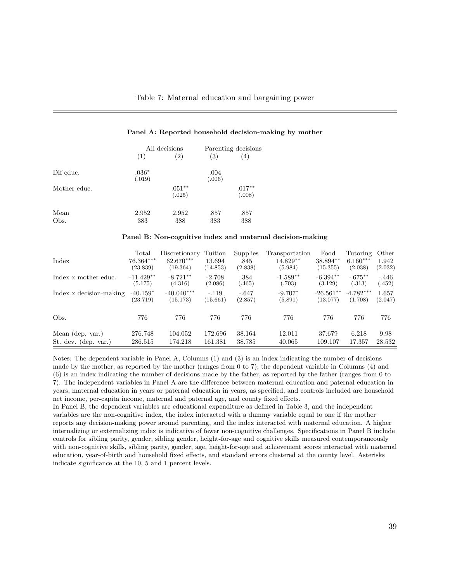<span id="page-38-0"></span>

|              |                   | All decisions       |                | Parenting decisions |
|--------------|-------------------|---------------------|----------------|---------------------|
|              | (1)               | $\left( 2\right)$   | (3)            | (4)                 |
| Dif educ.    | $.036*$<br>(.019) |                     | .004<br>(.006) |                     |
| Mother educ. |                   | $.051***$<br>(.025) |                | $.017***$<br>(.008) |
| Mean         | 2.952             | 2.952               | .857           | .857                |
| Obs.         | 383               | 388                 | 383            | 388                 |

#### Panel A: Reported household decision-making by mother

#### Panel B: Non-cognitive index and maternal decision-making

| Index                     | Total       | Discretionary | Tuition  | Supplies | Transportation | Food        | Tutoring    | Other   |
|---------------------------|-------------|---------------|----------|----------|----------------|-------------|-------------|---------|
|                           | 76.364***   | $62.670***$   | 13.694   | .845     | $14.829**$     | $38.894**$  | $6.160***$  | 1.942   |
|                           | (23.839)    | (19.364)      | (14.853) | (2.838)  | (5.984)        | (15.355)    | (2.038)     | (2.032) |
| Index x mother educ.      | $-11.429**$ | $-8.721***$   | $-2.708$ | .384     | $-1.589**$     | $-6.394**$  | $-.675***$  | $-.446$ |
|                           | (5.175)     | (4.316)       | (2.086)  | (.465)   | (.703)         | (3.129)     | (.313)      | (.452)  |
| Index x decision-making   | $-40.159*$  | $-40.040***$  | $-.119$  | $-.647$  | $-9.707*$      | $-26.561**$ | $-4.782***$ | 1.657   |
|                           | (23.719)    | (15.173)      | (15.661) | (2.857)  | (5.891)        | (13.077)    | (1.708)     | (2.047) |
| Obs.                      | 776         | 776           | 776      | 776      | 776            | 776         | 776         | 776     |
| Mean $(\text{dep. var.})$ | 276.748     | 104.052       | 172.696  | 38.164   | 12.011         | 37.679      | 6.218       | 9.98    |
| St. dev. (dep. var.)      | 286.515     | 174.218       | 161.381  | 38.785   | 40.065         | 109.107     | 17.357      | 28.532  |

Notes: The dependent variable in Panel A, Columns (1) and (3) is an index indicating the number of decisions made by the mother, as reported by the mother (ranges from 0 to 7); the dependent variable in Columns (4) and (6) is an index indicating the number of decisions made by the father, as reported by the father (ranges from 0 to 7). The independent variables in Panel A are the difference between maternal education and paternal education in years, maternal education in years or paternal education in years, as specified, and controls included are household net income, per-capita income, maternal and paternal age, and county fixed effects.

In Panel B, the dependent variables are educational expenditure as defined in Table [3,](#page-34-0) and the independent variables are the non-cognitive index, the index interacted with a dummy variable equal to one if the mother reports any decision-making power around parenting, and the index interacted with maternal education. A higher internalizing or externalizing index is indicative of fewer non-cognitive challenges. Specifications in Panel B include controls for sibling parity, gender, sibling gender, height-for-age and cognitive skills measured contemporaneously with non-cognitive skills, sibling parity, gender, age, height-for-age and achievement scores interacted with maternal education, year-of-birth and household fixed effects, and standard errors clustered at the county level. Asterisks indicate significance at the 10, 5 and 1 percent levels.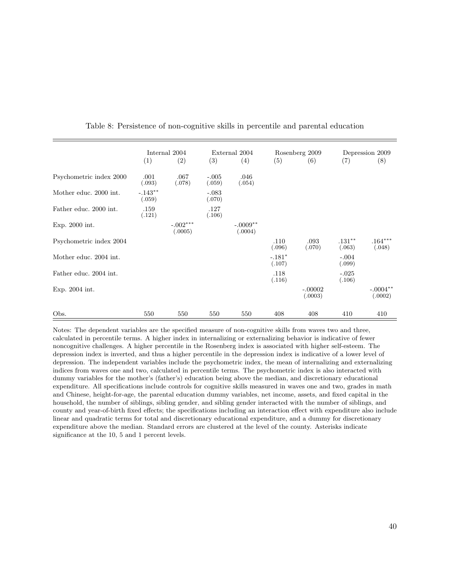<span id="page-39-0"></span>

|                         |                     | Internal 2004         |                   | External 2004         |                    | Rosenberg 2009       |                     | Depression 2009       |
|-------------------------|---------------------|-----------------------|-------------------|-----------------------|--------------------|----------------------|---------------------|-----------------------|
|                         | (1)                 | (2)                   | (3)               | (4)                   | (5)                | (6)                  | (7)                 | (8)                   |
| Psychometric index 2000 | .001<br>(.093)      | .067<br>(.078)        | $-.005$<br>(.059) | .046<br>(.054)        |                    |                      |                     |                       |
| Mother educ. 2000 int.  | $-.143**$<br>(.059) |                       | $-.083$<br>(.070) |                       |                    |                      |                     |                       |
| Father educ. 2000 int.  | .159<br>(.121)      |                       | .127<br>(.106)    |                       |                    |                      |                     |                       |
| Exp. 2000 int.          |                     | $-.002***$<br>(.0005) |                   | $-.0009**$<br>(.0004) |                    |                      |                     |                       |
| Psychometric index 2004 |                     |                       |                   |                       | .110<br>(.096)     | .093<br>(.070)       | $.131***$<br>(.063) | $.164***$<br>(.048)   |
| Mother educ. 2004 int.  |                     |                       |                   |                       | $-.181*$<br>(.107) |                      | $-.004$<br>(.099)   |                       |
| Father educ. 2004 int.  |                     |                       |                   |                       | .118<br>(.116)     |                      | $-.025$<br>(.106)   |                       |
| Exp. 2004 int.          |                     |                       |                   |                       |                    | $-.00002$<br>(.0003) |                     | $-.0004**$<br>(.0002) |
| Obs.                    | 550                 | 550                   | 550               | 550                   | 408                | 408                  | 410                 | 410                   |

Table 8: Persistence of non-cognitive skills in percentile and parental education

Notes: The dependent variables are the specified measure of non-cognitive skills from waves two and three, calculated in percentile terms. A higher index in internalizing or externalizing behavior is indicative of fewer noncognitive challenges. A higher percentile in the Rosenberg index is associated with higher self-esteem. The depression index is inverted, and thus a higher percentile in the depression index is indicative of a lower level of depression. The independent variables include the psychometric index, the mean of internalizing and externalizing indices from waves one and two, calculated in percentile terms. The psychometric index is also interacted with dummy variables for the mother's (father's) education being above the median, and discretionary educational expenditure. All specifications include controls for cognitive skills measured in waves one and two, grades in math and Chinese, height-for-age, the parental education dummy variables, net income, assets, and fixed capital in the household, the number of siblings, sibling gender, and sibling gender interacted with the number of siblings, and county and year-of-birth fixed effects; the specifications including an interaction effect with expenditure also include linear and quadratic terms for total and discretionary educational expenditure, and a dummy for discretionary expenditure above the median. Standard errors are clustered at the level of the county. Asterisks indicate significance at the 10, 5 and 1 percent levels.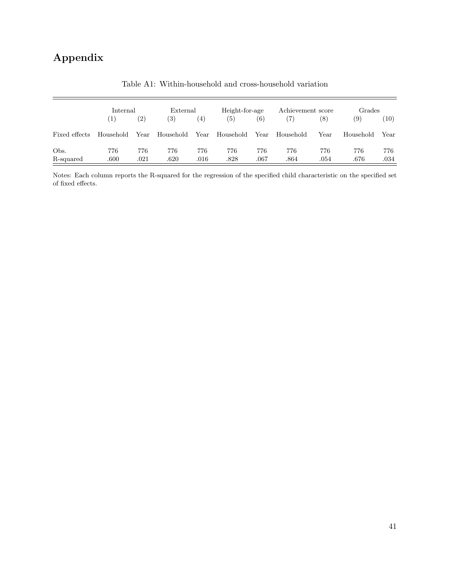# Appendix

<span id="page-40-0"></span>

|               | Internal         |      | External  |      | Height-for-age |      | Achievement score |      | Grades    |           |
|---------------|------------------|------|-----------|------|----------------|------|-------------------|------|-----------|-----------|
|               | $\left(1\right)$ | (2)  | (3)       | (4)  | (5)            | (6)  |                   | (8)  | (9)       | <b>10</b> |
| Fixed effects | Household        | Year | Household | Year | Household      | Year | Household         | Year | Household | Year      |
| Obs.          | 776              | 776  | 776       | 776  | 776            | 776  | 776               | 776  | 776       | 776       |
| R-squared     | .600             | .021 | .620      | .016 | .828           | .067 | .864              | .054 | .676      | .034      |

Table A1: Within-household and cross-household variation

Notes: Each column reports the R-squared for the regression of the specified child characteristic on the specified set of fixed effects.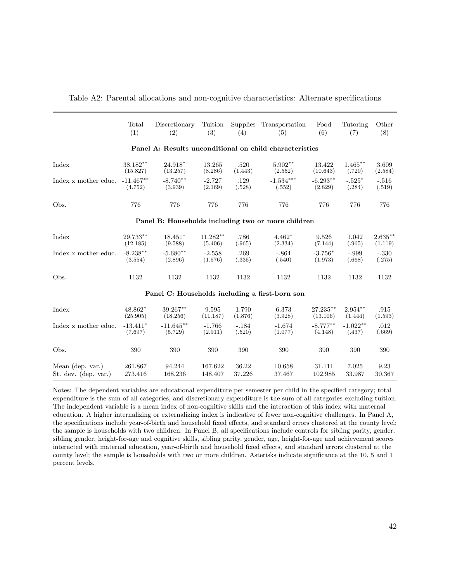|                               | Total<br>(1) | Discretionary<br>(2) | Tuition<br>(3) | (4)     | Supplies Transportation<br>(5)                          | Food<br>(6) | Tutoring<br>(7) | Other<br>(8) |
|-------------------------------|--------------|----------------------|----------------|---------|---------------------------------------------------------|-------------|-----------------|--------------|
|                               |              |                      |                |         | Panel A: Results unconditional on child characteristics |             |                 |              |
| Index                         | $38.182**$   | $24.918*$            | 13.265         | .520    | $5.902**$                                               | 13.422      | $1.465***$      | 3.609        |
|                               | (15.827)     | (13.257)             | (8.286)        | (1.443) | (2.552)                                                 | (10.643)    | (.720)          | (2.584)      |
| Index x mother educ.          | $-11.467**$  | $-8.740**$           | $-2.727$       | .129    | $-1.534***$                                             | $-6.293**$  | $-.525*$        | $-.516$      |
|                               | (4.752)      | (3.939)              | (2.169)        | (.528)  | (.552)                                                  | (2.829)     | (.284)          | (.519)       |
| Obs.                          | 776          | 776                  | 776            | 776     | 776                                                     | 776         | 776             | 776          |
|                               |              |                      |                |         | Panel B: Households including two or more children      |             |                 |              |
| Index                         | 29.733**     | $18.451*$            | $11.282**$     | .786    | $4.462*$                                                | 9.526       | 1.042           | $2.635***$   |
|                               | (12.185)     | (9.588)              | (5.406)        | (.965)  | (2.334)                                                 | (7.144)     | (.965)          | (1.119)      |
| Index x mother educ.          | $-8.238**$   | $-5.680**$           | $-2.558$       | .269    | $-.864$                                                 | $-3.756*$   | $-.999$         | $-.330$      |
|                               | (3.554)      | (2.896)              | (1.576)        | (.335)  | (.540)                                                  | (1.973)     | (.668)          | (.275)       |
| Obs.                          | 1132         | 1132                 | 1132           | 1132    | 1132                                                    | 1132        | 1132            | 1132         |
|                               |              |                      |                |         | Panel C: Households including a first-born son          |             |                 |              |
| Index                         | 48.862*      | $39.267**$           | 9.595          | 1.790   | 6.373                                                   | $27.235***$ | $2.954**$       | .915         |
|                               | (25.905)     | (18.256)             | (11.187)       | (1.876) | (3.928)                                                 | (13.106)    | (1.444)         | (1.593)      |
| Index x mother educ.          | $-13.411*$   | $-11.645***$         | $-1.766$       | $-.184$ | $-1.674$                                                | $-8.777***$ | $-1.022**$      | .012         |
|                               | (7.697)      | (5.729)              | (2.911)        | (.520)  | (1.077)                                                 | (4.148)     | (.437)          | (.669)       |
| Obs.                          | 390          | 390                  | 390            | 390     | 390                                                     | 390         | 390             | 390          |
| Mean (dep. var.)              | 261.867      | 94.244               | 167.622        | 36.22   | 10.658                                                  | 31.111      | 7.025           | 9.23         |
| St. dev. $(\text{dep. var.})$ | 273.416      | 168.236              | 148.407        | 37.226  | 37.467                                                  | 102.985     | 33.987          | 30.367       |

<span id="page-41-0"></span>Table A2: Parental allocations and non-cognitive characteristics: Alternate specifications

Notes: The dependent variables are educational expenditure per semester per child in the specified category; total expenditure is the sum of all categories, and discretionary expenditure is the sum of all categories excluding tuition. The independent variable is a mean index of non-cognitive skills and the interaction of this index with maternal education. A higher internalizing or externalizing index is indicative of fewer non-cognitive challenges. In Panel A, the specifications include year-of-birth and household fixed effects, and standard errors clustered at the county level; the sample is households with two children. In Panel B, all specifications include controls for sibling parity, gender, sibling gender, height-for-age and cognitive skills, sibling parity, gender, age, height-for-age and achievement scores interacted with maternal education, year-of-birth and household fixed effects, and standard errors clustered at the county level; the sample is households with two or more children. Asterisks indicate significance at the 10, 5 and 1 percent levels.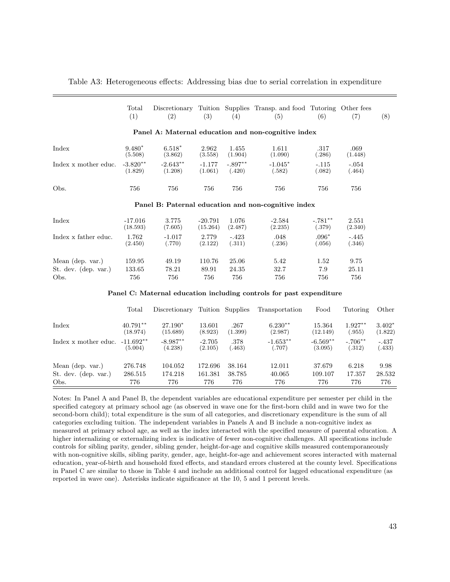|                      | Total<br>(1)          | (2)                   | (3)                   | (4)                 | Discretionary Tuition Supplies Transp. and food Tutoring Other fees<br>(5) | (6)                  | (7)               | (8) |
|----------------------|-----------------------|-----------------------|-----------------------|---------------------|----------------------------------------------------------------------------|----------------------|-------------------|-----|
|                      |                       |                       |                       |                     | Panel A: Maternal education and non-cognitive index                        |                      |                   |     |
| Index                | $9.480*$<br>(5.508)   | $6.518*$<br>(3.862)   | 2.962<br>(3.558)      | 1.455<br>(1.904)    | 1.611<br>(1.090)                                                           | .317<br>(.286)       | .069<br>(1.448)   |     |
| Index x mother educ. | $-3.820**$<br>(1.829) | $-2.643**$<br>(1.208) | $-1.177$<br>(1.061)   | $-.897**$<br>(.420) | $-1.045*$<br>(.582)                                                        | $-.115$<br>(.082)    | $-.054$<br>(.464) |     |
| Obs.                 | 756                   | 756                   | 756                   | 756                 | 756                                                                        | 756                  | 756               |     |
|                      |                       |                       |                       |                     | Panel B: Paternal education and non-cognitive index                        |                      |                   |     |
| Index                | $-17.016$<br>(18.593) | 3.775<br>(7.605)      | $-20.791$<br>(15.264) | 1.076<br>(2.487)    | $-2.584$<br>(2.235)                                                        | $-.781***$<br>(.379) | 2.551<br>(2.340)  |     |
| Index x father educ. | 1.762<br>(2.450)      | $-1.017$<br>(.770)    | 2.779<br>(2.122)      | $-.423$<br>(.311)   | .048<br>(.236)                                                             | $.096*$<br>(.056)    | $-.445$<br>(.346) |     |
| Mean (dep. var.)     | 159.95                | 49.19                 | 110.76                | 25.06               | 5.42                                                                       | 1.52                 | 9.75              |     |
| St. dev. (dep. var.) | 133.65                | 78.21                 | 89.91                 | 24.35               | 32.7                                                                       | 7.9                  | 25.11             |     |
| Obs.                 | 756                   | 756                   | 756                   | 756                 | 756                                                                        | 756                  | 756               |     |
|                      |                       |                       |                       |                     | Panel C: Maternal education including controls for past expenditure        |                      |                   |     |

<span id="page-42-0"></span>

|                      | Total                  | Discretionary Tuition Supplies |                     |                 | Transportation       | Food                  | Tutoring             | Other               |
|----------------------|------------------------|--------------------------------|---------------------|-----------------|----------------------|-----------------------|----------------------|---------------------|
| Index                | $40.791**$<br>(18.974) | $27.190*$<br>(15.689)          | 13.601<br>(8.923)   | .267<br>(1.399) | $6.230**$<br>(2.987) | 15.364<br>(12.149)    | $1.927**$<br>(.955)  | $3.402*$<br>(1.822) |
| Index x mother educ. | $-11.692**$<br>(5.004) | $-8.987**$<br>(4.238)          | $-2.705$<br>(2.105) | .378<br>(463)   | $-1.653**$<br>(.707) | $-6.569**$<br>(3.095) | $-.706***$<br>(.312) | $-.437$<br>(.433)   |
| Mean (dep. var.)     | 276.748                | 104.052                        | 172.696             | 38.164          | 12.011               | 37.679                | 6.218                | 9.98                |
| St. dev. (dep. var.) | 286.515                | 174.218                        | 161.381             | 38.785          | 40.065               | 109.107               | 17.357               | 28.532              |
| Obs.                 | 776                    | 776                            | 776                 | 776             | 776                  | 776                   | 776                  | 776                 |

Notes: In Panel A and Panel B, the dependent variables are educational expenditure per semester per child in the specified category at primary school age (as observed in wave one for the first-born child and in wave two for the second-born child); total expenditure is the sum of all categories, and discretionary expenditure is the sum of all categories excluding tuition. The independent variables in Panels A and B include a non-cognitive index as measured at primary school age, as well as the index interacted with the specified measure of parental education. A higher internalizing or externalizing index is indicative of fewer non-cognitive challenges. All specifications include controls for sibling parity, gender, sibling gender, height-for-age and cognitive skills measured contemporaneously with non-cognitive skills, sibling parity, gender, age, height-for-age and achievement scores interacted with maternal education, year-of-birth and household fixed effects, and standard errors clustered at the county level. Specifications in Panel C are similar to those in Table [4](#page-35-0) and include an additional control for lagged educational expenditure (as reported in wave one). Asterisks indicate significance at the 10, 5 and 1 percent levels.